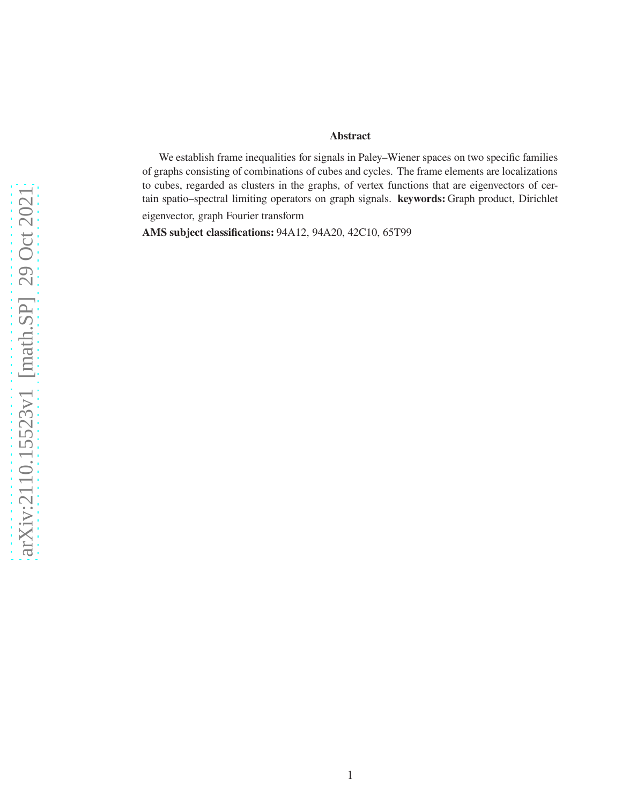#### **Abstract**

We establish frame inequalities for signals in Paley–Wiener spaces on two specific families of graphs consisting of combinations of cubes and cycles. The frame elements are localizations to cubes, regarded as clusters in the graphs, of vertex functions that are eigenvectors of certain spatio–spectral limiting operators on graph signals. **keywords:** Graph product, Dirichlet eigenvector, graph Fourier transform

**AMS subject classifications:** 94A12, 94A20, 42C10, 65T99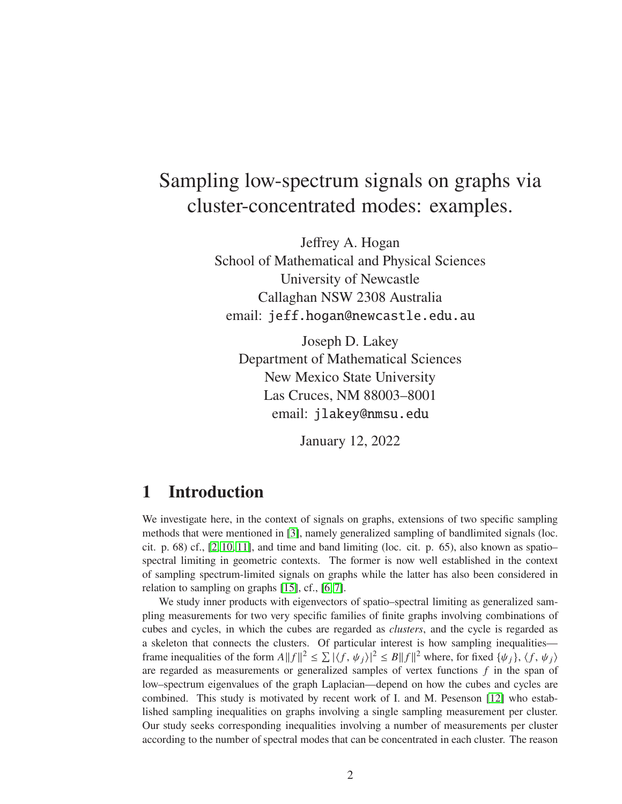# Sampling low-spectrum signals on graphs via cluster-concentrated modes: examples.

Jeffrey A. Hogan School of Mathematical and Physical Sciences University of Newcastle Callaghan NSW 2308 Australia email: jeff.hogan@newcastle.edu.au

Joseph D. Lakey Department of Mathematical Sciences New Mexico State University Las Cruces, NM 88003–8001 email: jlakey@nmsu.edu

January 12, 2022

## **1 Introduction**

We investigate here, in the context of signals on graphs, extensions of two specific sampling methods that were mentioned in [\[3\]](#page-20-0), namely generalized sampling of bandlimited signals (loc. cit. p.  $68$ ) cf.,  $[2, 10, 11]$  $[2, 10, 11]$  $[2, 10, 11]$ , and time and band limiting (loc. cit. p.  $65$ ), also known as spatio– spectral limiting in geometric contexts. The former is now well established in the context of sampling spectrum-limited signals on graphs while the latter has also been considered in relation to sampling on graphs [\[15\]](#page-21-2), cf., [\[6,](#page-21-3) [7\]](#page-21-4).

We study inner products with eigenvectors of spatio–spectral limiting as generalized sampling measurements for two very specific families of finite graphs involving combinations of cubes and cycles, in which the cubes are regarded as *clusters*, and the cycle is regarded as a skeleton that connects the clusters. Of particular interest is how sampling inequalities frame inequalities of the form  $A||f||^2 \le \sum |\langle f, \psi_j \rangle|^2 \le B||f||^2$  where, for fixed  $\{\psi_j\}$ ,  $\langle f, \psi_j \rangle$ are regarded as measurements or generalized samples of vertex functions  $f$  in the span of low–spectrum eigenvalues of the graph Laplacian—depend on how the cubes and cycles are combined. This study is motivated by recent work of I. and M. Pesenson [\[12\]](#page-21-5) who established sampling inequalities on graphs involving a single sampling measurement per cluster. Our study seeks corresponding inequalities involving a number of measurements per cluster according to the number of spectral modes that can be concentrated in each cluster. The reason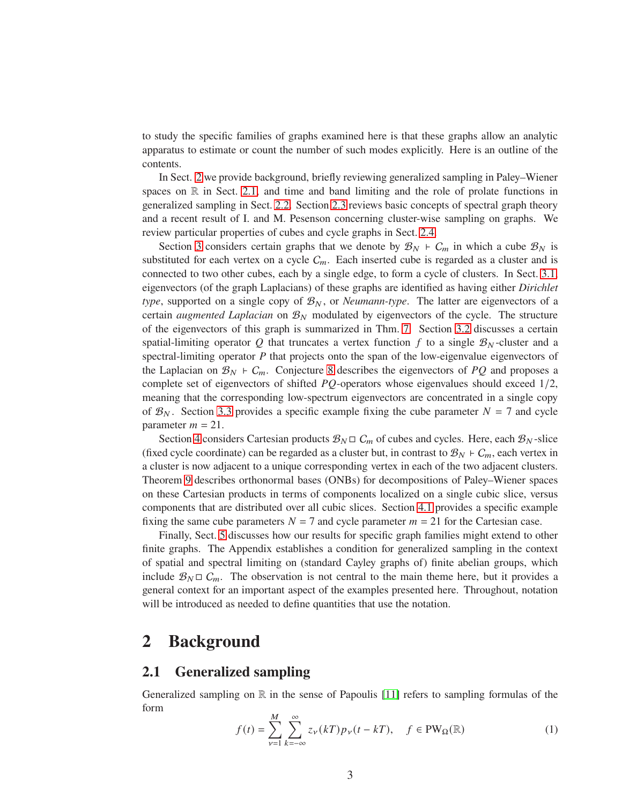to study the specific families of graphs examined here is that these graphs allow an analytic apparatus to estimate or count the number of such modes explicitly. Here is an outline of the contents.

In Sect. [2](#page-2-0) we provide background, briefly reviewing generalized sampling in Paley–Wiener spaces on  $\mathbb R$  in Sect. [2.1,](#page-2-1) and time and band limiting and the role of prolate functions in generalized sampling in Sect. [2.2.](#page-3-0) Section [2.3](#page-4-0) reviews basic concepts of spectral graph theory and a recent result of I. and M. Pesenson concerning cluster-wise sampling on graphs. We review particular properties of cubes and cycle graphs in Sect. [2.4.](#page-5-0)

Section [3](#page-6-0) considers certain graphs that we denote by  $\mathcal{B}_N$  ⊢  $C_m$  in which a cube  $\mathcal{B}_N$  is substituted for each vertex on a cycle  $C_m$ . Each inserted cube is regarded as a cluster and is connected to two other cubes, each by a single edge, to form a cycle of clusters. In Sect. [3.1,](#page-6-1) eigenvectors (of the graph Laplacians) of these graphs are identified as having either *Dirichlet type*, supported on a single copy of  $\mathcal{B}_N$ , or *Neumann-type*. The latter are eigenvectors of a certain *augmented Laplacian* on  $\mathcal{B}_N$  modulated by eigenvectors of the cycle. The structure of the eigenvectors of this graph is summarized in Thm. [7.](#page-9-0) Section [3.2](#page-10-0) discusses a certain spatial-limiting operator Q that truncates a vertex function f to a single  $\mathcal{B}_N$ -cluster and a spectral-limiting operator  $P$  that projects onto the span of the low-eigenvalue eigenvectors of the Laplacian on  $\mathcal{B}_N$  ⊢  $C_m$ . Conjecture [8](#page-11-0) describes the eigenvectors of PQ and proposes a complete set of eigenvectors of shifted  $PQ$ -operators whose eigenvalues should exceed  $1/2$ , meaning that the corresponding low-spectrum eigenvectors are concentrated in a single copy of  $\mathcal{B}_N$ . Section [3.3](#page-14-0) provides a specific example fixing the cube parameter  $N = 7$  and cycle parameter  $m = 21$ .

Section [4](#page-14-1) considers Cartesian products  $\mathcal{B}_N \square C_m$  of cubes and cycles. Here, each  $\mathcal{B}_N$ -slice (fixed cycle coordinate) can be regarded as a cluster but, in contrast to  $B_N$  ⊢  $C_m$ , each vertex in a cluster is now adjacent to a unique corresponding vertex in each of the two adjacent clusters. Theorem [9](#page-16-0) describes orthonormal bases (ONBs) for decompositions of Paley–Wiener spaces on these Cartesian products in terms of components localized on a single cubic slice, versus components that are distributed over all cubic slices. Section [4.1](#page-17-0) provides a specific example fixing the same cube parameters  $N = 7$  and cycle parameter  $m = 21$  for the Cartesian case.

Finally, Sect. [5](#page-17-1) discusses how our results for specific graph families might extend to other finite graphs. The Appendix establishes a condition for generalized sampling in the context of spatial and spectral limiting on (standard Cayley graphs of) finite abelian groups, which include  $\mathcal{B}_N \square C_m$ . The observation is not central to the main theme here, but it provides a general context for an important aspect of the examples presented here. Throughout, notation will be introduced as needed to define quantities that use the notation.

### <span id="page-2-0"></span>**2 Background**

#### <span id="page-2-1"></span>**2.1 Generalized sampling**

Generalized sampling on  $\mathbb R$  in the sense of Papoulis [\[11\]](#page-21-1) refers to sampling formulas of the form

<span id="page-2-2"></span>
$$
f(t) = \sum_{\nu=1}^{M} \sum_{k=-\infty}^{\infty} z_{\nu}(k) p_{\nu}(t - k), \quad f \in PW_{\Omega}(\mathbb{R})
$$
 (1)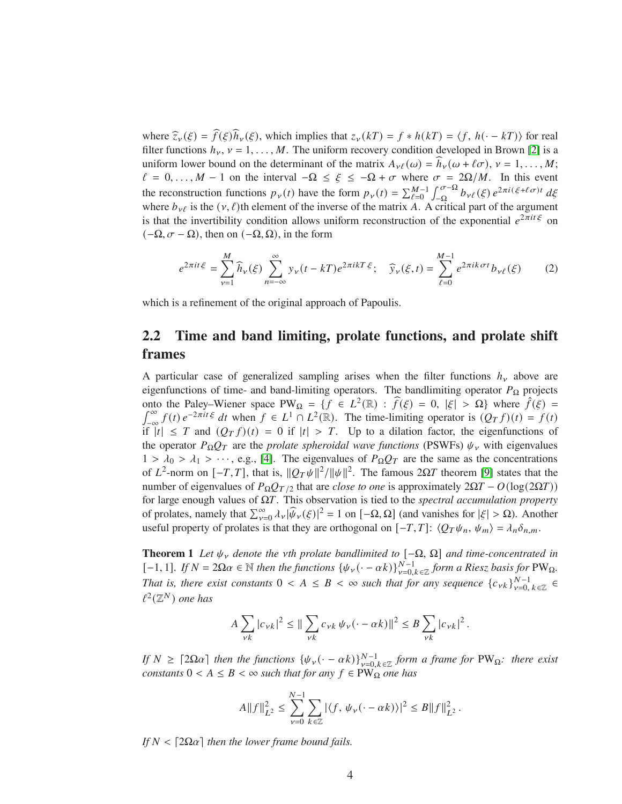where  $\widehat{z}_{\nu}(\xi) = \widehat{f}(\xi)\widehat{h}_{\nu}(\xi)$ , which implies that  $z_{\nu}(kT) = f * h(kT) = \langle f, h(\cdot - kT) \rangle$  for real filter functions  $h<sub>v</sub>$ ,  $v = 1, ..., M$ . The uniform recovery condition developed in Brown [\[2\]](#page-20-1) is a uniform lower bound on the determinant of the matrix  $A_{\nu\ell}(\omega) = h_{\nu}(\omega + \ell\sigma), \nu = 1, \ldots, M;$  $\ell = 0, \ldots, M - 1$  on the interval  $-\Omega \leq \xi \leq -\Omega + \sigma$  where  $\sigma = 2\Omega/M$ . In this event the reconstruction functions  $p_{\nu}(t)$  have the form  $p_{\nu}(t) = \sum_{\ell=0}^{M-1} \int_{-\Omega}^{\sigma-\Omega}$  $\int_{-\Omega}^{\sigma-\Omega} b_{\nu\ell}(\xi) e^{2\pi i(\xi+\ell\sigma)t} d\xi$ where  $b_{\nu\ell}$  is the ( $\nu, \ell$ )th element of the inverse of the matrix A. A critical part of the argument is that the invertibility condition allows uniform reconstruction of the exponential  $e^{2\pi it\xi}$  on  $(-\Omega, \sigma - \Omega)$ , then on  $(-\Omega, \Omega)$ , in the form

<span id="page-3-1"></span>
$$
e^{2\pi i t\xi} = \sum_{\nu=1}^{M} \widehat{h}_{\nu}(\xi) \sum_{n=-\infty}^{\infty} y_{\nu}(t - kT)e^{2\pi i kT \xi}; \quad \widehat{y}_{\nu}(\xi, t) = \sum_{\ell=0}^{M-1} e^{2\pi i k \sigma t} b_{\nu \ell}(\xi)
$$
 (2)

<span id="page-3-0"></span>which is a refinement of the original approach of Papoulis.

## **2.2 Time and band limiting, prolate functions, and prolate shift frames**

A particular case of generalized sampling arises when the filter functions  $h<sub>y</sub>$  above are eigenfunctions of time- and band-limiting operators. The bandlimiting operator  $P_{\Omega}$  projects onto the Paley–Wiener space PW<sub>Ω</sub> = { $f \in L^2(\mathbb{R})$  :  $\hat{f}(\xi) = 0$ ,  $|\xi| > \Omega$ } where  $\hat{f}(\xi) =$  $\int_0^\infty f(t) e^{-2\pi i t \xi} dt$  when  $f \in L^1 \cap L^2(\mathbb{R})$ . The time-limiting operator is  $(O_T f)(t) = f(t)$ if  $|t| \leq T$  and  $(Q_T f)(t) = 0$  if  $|t| > T$ . Up to a dilation factor, the eigenfunctions of  $f(t) e^{-2\pi i t \xi} dt$  when  $f \in L^1 \cap L^2(\mathbb{R})$ . The time-limiting operator is  $(Q_T f)(t) = f(t)$ the operator  $P_{\Omega}Q_T$  are the *prolate spheroidal wave functions* (PSWFs)  $\psi_{\nu}$  with eigenvalues  $1 > \lambda_0 > \lambda_1 > \cdots$ , e.g., [\[4\]](#page-20-2). The eigenvalues of  $P_{\Omega}Q_T$  are the same as the concentrations of  $L^2$ -norm on  $[-T, T]$ , that is,  $||Q_T \psi||^2 / ||\psi||^2$ . The famous  $2\Omega T$  theorem [\[9\]](#page-21-6) states that the number of eigenvalues of  $P_{\Omega}Q_{T/2}$  that are *close to one* is approximately  $2\Omega T - O(\log(2\Omega T))$ for large enough values of Ω𝑇. This observation is tied to the *spectral accumulation property* of prolates, namely that  $\sum_{\nu=0}^{\infty} \lambda_{\nu} |\widehat{\psi}_{\nu}(\xi)|^2 = 1$  on  $[-\Omega, \Omega]$  (and vanishes for  $|\xi| > \Omega$ ). Another useful property of prolates is that they are orthogonal on  $[-T, T]$ :  $\langle Q_T \psi_n, \psi_m \rangle = \lambda_n \delta_{n,m}$ .

<span id="page-3-2"></span>**Theorem 1** Let  $\psi_{\gamma}$  denote the vth prolate bandlimited to  $[-\Omega, \Omega]$  and time-concentrated in  $[-1, 1]$ *. If*  $N = 2Ωα ∈ ℕ$  *then the functions*  $\{\psi_\nu(\cdot - \alpha k)\}_{\nu=0, k \in \mathbb{Z}}^N$  *form a Riesz basis for* PW<sub>Ω</sub>*. That is, there exist constants*  $0 \lt A \leq B \lt \infty$  *such that for any sequence*  $\{c_{\nu k}\}_{\nu=0, k \in \mathbb{Z}}^{\mathbb{N}-1} \in$  $\ell^2(\mathbb{Z}^N)$  one has

$$
A \sum_{\nu k} |c_{\nu k}|^2 \le || \sum_{\nu k} c_{\nu k} \psi_{\nu} (\cdot - \alpha k) ||^2 \le B \sum_{\nu k} |c_{\nu k}|^2.
$$

*If*  $N \geq [2\Omega\alpha]$  then the functions  $\{\psi_{\nu}(\cdot - \alpha k)\}_{\nu=0, k \in \mathbb{Z}}^{N-1}$  form a frame for PW<sub>Q</sub>: there exist *constants*  $0 < A \leq B < \infty$  *such that for any*  $f \in PW_{\Omega}$  *one has* 

$$
A||f||_{L^{2}}^{2} \leq \sum_{\nu=0}^{N-1} \sum_{k \in \mathbb{Z}} |\langle f, \psi_{\nu}(\cdot - \alpha k) \rangle|^{2} \leq B||f||_{L^{2}}^{2}.
$$

*If*  $N < \lfloor 2\Omega \alpha \rfloor$  *then the lower frame bound fails.*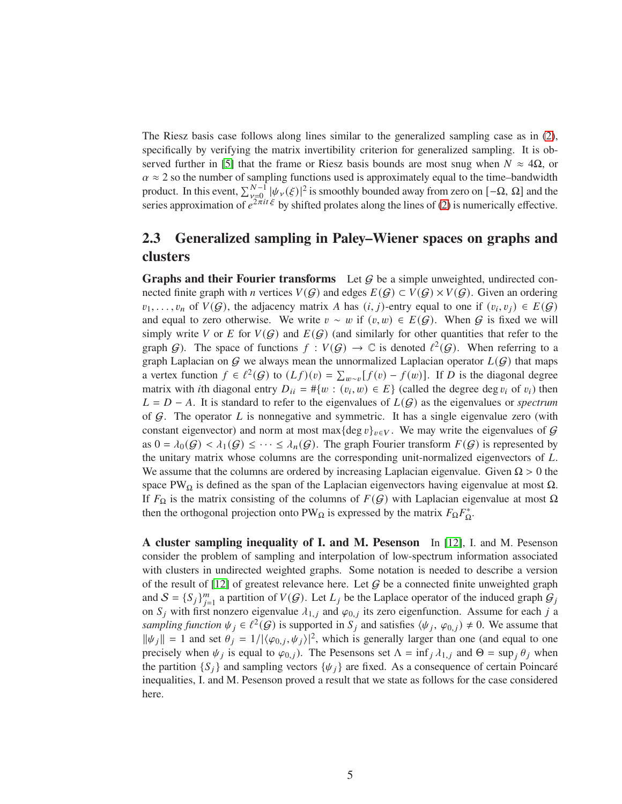The Riesz basis case follows along lines similar to the generalized sampling case as in [\(2\)](#page-3-1), specifically by verifying the matrix invertibility criterion for generalized sampling. It is ob-served further in [\[5\]](#page-20-3) that the frame or Riesz basis bounds are most snug when  $N \approx 4\Omega$ , or  $\alpha \approx 2$  so the number of sampling functions used is approximately equal to the time–bandwidth product. In this event,  $\sum_{\substack{\nu=0 \ \nu \neq 0}}^{N-1} |\psi_{\nu}(\xi)|^2$  is smoothly bounded away from zero on  $[-\Omega, \Omega]$  and the series approximation of  $e^{2\pi it\xi}$  by shifted prolates along the lines of [\(2\)](#page-3-1) is numerically effective.

## <span id="page-4-0"></span>**2.3 Generalized sampling in Paley–Wiener spaces on graphs and clusters**

**Graphs and their Fourier transforms** Let  $G$  be a simple unweighted, undirected connected finite graph with *n* vertices  $V(G)$  and edges  $E(G) \subset V(G) \times V(G)$ . Given an ordering  $v_1, \ldots, v_n$  of  $V(G)$ , the adjacency matrix A has  $(i, j)$ -entry equal to one if  $(v_i, v_j) \in E(G)$ and equal to zero otherwise. We write  $v \sim w$  if  $(v, w) \in E(G)$ . When G is fixed we will simply write V or E for  $V(G)$  and  $E(G)$  (and similarly for other quantities that refer to the graph  $G$ ). The space of functions  $f: V(G) \to \mathbb{C}$  is denoted  $\ell^2(G)$ . When referring to a graph Laplacian on  $G$  we always mean the unnormalized Laplacian operator  $L(G)$  that maps a vertex function  $f \in \ell^2(G)$  to  $(Lf)(v) = \sum_{w \sim v} [f(v) - f(w)]$ . If D is the diagonal degree matrix with *i*th diagonal entry  $D_{ii} = #{w : (v_i, w) \in E}$  (called the degree deg  $v_i$  of  $v_i$ ) then  $L = D - A$ . It is standard to refer to the eigenvalues of  $L(G)$  as the eigenvalues or *spectrum* of  $G$ . The operator L is nonnegative and symmetric. It has a single eigenvalue zero (with constant eigenvector) and norm at most max{deg  $v\}_{v\in V}$ . We may write the eigenvalues of G as  $0 = \lambda_0(\mathcal{G}) < \lambda_1(\mathcal{G}) \leq \cdots \leq \lambda_n(\mathcal{G})$ . The graph Fourier transform  $F(\mathcal{G})$  is represented by the unitary matrix whose columns are the corresponding unit-normalized eigenvectors of  $L$ . We assume that the columns are ordered by increasing Laplacian eigenvalue. Given  $\Omega > 0$  the space PW $\Omega$  is defined as the span of the Laplacian eigenvectors having eigenvalue at most  $\Omega$ . If  $F_\Omega$  is the matrix consisting of the columns of  $F(G)$  with Laplacian eigenvalue at most  $\Omega$ then the orthogonal projection onto PW<sub>Ω</sub> is expressed by the matrix  $F_{\Omega}F_{\Omega}^*$ .

<span id="page-4-1"></span>**A cluster sampling inequality of I. and M. Pesenson** In [\[12\]](#page-21-5), I. and M. Pesenson consider the problem of sampling and interpolation of low-spectrum information associated with clusters in undirected weighted graphs. Some notation is needed to describe a version of the result of [\[12\]](#page-21-5) of greatest relevance here. Let  $G$  be a connected finite unweighted graph and  $S = \{S_j\}_{j=1}^m$  a partition of  $V(G)$ . Let  $L_j$  be the Laplace operator of the induced graph  $G_j$ on  $S_j$  with first nonzero eigenvalue  $\lambda_{1,j}$  and  $\varphi_{0,j}$  its zero eigenfunction. Assume for each j a sampling function  $\psi_j \in \ell^2(G)$  is supported in  $S_j$  and satisfies  $(\psi_j, \varphi_{0,j}) \neq 0$ . We assume that  $\|\psi_j\| = 1$  and set  $\theta_j = 1/|\langle \varphi_{0,j}, \psi_j \rangle|^2$ , which is generally larger than one (and equal to one precisely when  $\psi_j$  is equal to  $\varphi_{0,j}$ ). The Pesensons set  $\Lambda = \inf_j \lambda_{1,j}$  and  $\Theta = \sup_j \theta_j$  when the partition  $\{S_i\}$  and sampling vectors  $\{\psi_i\}$  are fixed. As a consequence of certain Poincaré inequalities, I. and M. Pesenson proved a result that we state as follows for the case considered here.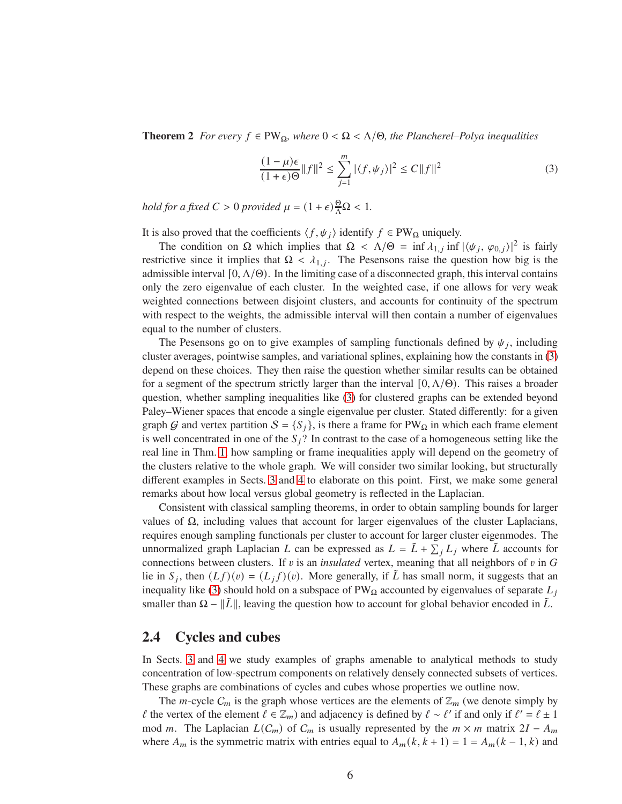**Theorem 2** *For every*  $f \in PW_{\Omega}$ *, where*  $0 < \Omega < \Lambda/\Theta$ *, the Plancherel–Polya inequalities* 

<span id="page-5-1"></span>
$$
\frac{(1-\mu)\epsilon}{(1+\epsilon)\Theta}||f||^2 \le \sum_{j=1}^m |\langle f, \psi_j \rangle|^2 \le C||f||^2 \tag{3}
$$

*hold for a fixed*  $C > 0$  *provided*  $\mu = (1 + \epsilon) \frac{\Theta}{\Lambda} \Omega < 1$ *.* 

It is also proved that the coefficients  $\langle f, \psi_i \rangle$  identify  $f \in PW_{\Omega}$  uniquely.

The condition on  $\Omega$  which implies that  $\Omega < \Lambda/\Theta = \inf \lambda_{1,j} \inf |\langle \psi_j, \varphi_{0,j} \rangle|^2$  is fairly restrictive since it implies that  $\Omega < \lambda_{1,j}$ . The Pesensons raise the question how big is the admissible interval  $[0, \Lambda/\Theta)$ . In the limiting case of a disconnected graph, this interval contains only the zero eigenvalue of each cluster. In the weighted case, if one allows for very weak weighted connections between disjoint clusters, and accounts for continuity of the spectrum with respect to the weights, the admissible interval will then contain a number of eigenvalues equal to the number of clusters.

The Pesensons go on to give examples of sampling functionals defined by  $\psi_j$ , including cluster averages, pointwise samples, and variational splines, explaining how the constants in [\(3\)](#page-5-1) depend on these choices. They then raise the question whether similar results can be obtained for a segment of the spectrum strictly larger than the interval  $[0, \Lambda/\Theta)$ . This raises a broader question, whether sampling inequalities like [\(3\)](#page-5-1) for clustered graphs can be extended beyond Paley–Wiener spaces that encode a single eigenvalue per cluster. Stated differently: for a given graph G and vertex partition  $S = \{S_i\}$ , is there a frame for PW $\Omega$  in which each frame element is well concentrated in one of the  $S_i$ ? In contrast to the case of a homogeneous setting like the real line in Thm. [1,](#page-3-2) how sampling or frame inequalities apply will depend on the geometry of the clusters relative to the whole graph. We will consider two similar looking, but structurally different examples in Sects. [3](#page-6-0) and [4](#page-14-1) to elaborate on this point. First, we make some general remarks about how local versus global geometry is reflected in the Laplacian.

Consistent with classical sampling theorems, in order to obtain sampling bounds for larger values of  $\Omega$ , including values that account for larger eigenvalues of the cluster Laplacians, requires enough sampling functionals per cluster to account for larger cluster eigenmodes. The unnormalized graph Laplacian L can be expressed as  $L = \tilde{L} + \sum_j L_j$  where  $\tilde{L}$  accounts for connections between clusters. If  $v$  is an *insulated* vertex, meaning that all neighbors of  $v$  in  $G$ lie in  $S_j$ , then  $(Lf)(v) = (L_j f)(v)$ . More generally, if  $\tilde{L}$  has small norm, it suggests that an inequality like [\(3\)](#page-5-1) should hold on a subspace of  $PW_{\Omega}$  accounted by eigenvalues of separate  $L_i$ smaller than  $\Omega - ||\tilde{L}||$ , leaving the question how to account for global behavior encoded in  $\tilde{L}$ .

#### <span id="page-5-0"></span>**2.4 Cycles and cubes**

In Sects. [3](#page-6-0) and [4](#page-14-1) we study examples of graphs amenable to analytical methods to study concentration of low-spectrum components on relatively densely connected subsets of vertices. These graphs are combinations of cycles and cubes whose properties we outline now.

The *m*-cycle  $C_m$  is the graph whose vertices are the elements of  $\mathbb{Z}_m$  (we denote simply by  $\ell$  the vertex of the element  $\ell \in \mathbb{Z}_m$ ) and adjacency is defined by  $\ell \sim \ell'$  if and only if  $\ell' = \ell \pm 1$ mod *m*. The Laplacian  $L(C_m)$  of  $C_m$  is usually represented by the  $m \times m$  matrix 2*I* –  $A_m$ where  $A_m$  is the symmetric matrix with entries equal to  $A_m(k, k + 1) = 1 = A_m(k - 1, k)$  and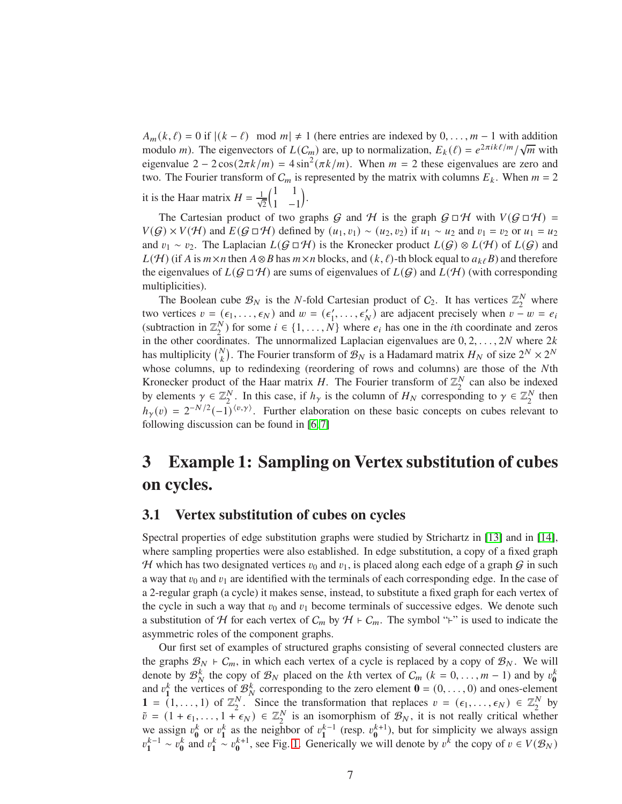$A_m(k, \ell) = 0$  if  $|(k - \ell) \mod m| \neq 1$  (here entries are indexed by  $0, \ldots, m-1$  with addition modulo *m*). The eigenvectors of  $L(C_m)$  are, up to normalization,  $E_k(\ell) = e^{2\pi i k\ell/m}/\sqrt{m}$  with eigenvalue  $2 - 2\cos(2\pi k/m) = 4\sin^2(\pi k/m)$ . When  $m = 2$  these eigenvalues are zero and two. The Fourier transform of  $C_m$  is represented by the matrix with columns  $E_k$ . When  $m = 2$ it is the Haar matrix  $H = \frac{1}{\sqrt{2}}$  $(1 \ 1)$ 1 −1 .

The Cartesian product of two graphs G and H is the graph  $G \Box H$  with  $V(G \Box H) =$  $V(G) \times V(H)$  and  $E(G \square H)$  defined by  $(u_1, v_1) \sim (u_2, v_2)$  if  $u_1 \sim u_2$  and  $v_1 = v_2$  or  $u_1 = u_2$ and  $v_1 \sim v_2$ . The Laplacian  $L(G \square H)$  is the Kronecker product  $L(G) \otimes L(H)$  of  $L(G)$  and  $L(\mathcal{H})$  (if A is  $m \times n$  then  $A \otimes B$  has  $m \times n$  blocks, and  $(k, \ell)$ -th block equal to  $a_{k\ell}B$ ) and therefore the eigenvalues of  $L(G \square H)$  are sums of eigenvalues of  $L(G)$  and  $L(H)$  (with corresponding multiplicities).

The Boolean cube  $\mathcal{B}_N$  is the *N*-fold Cartesian product of  $C_2$ . It has vertices  $\mathbb{Z}_2^N$  $\frac{N}{2}$  where two vertices  $v = (\epsilon_1, ..., \epsilon_N)$  and  $w = (\epsilon'_1, ..., \epsilon'_N)$  are adjacent precisely when  $v - w = e_i$ (subtraction in  $\mathbb{Z}_2^N$  $2^{N}$ ) for some  $i \in \{1, ..., N\}$  where  $e_i$  has one in the *i*th coordinate and zeros in the other coordinates. The unnormalized Laplacian eigenvalues are  $0, 2, \ldots, 2N$  where  $2k$ has multiplicity  $\binom{N}{k}$ . The Fourier transform of  $\mathcal{B}_N$  is a Hadamard matrix  $H_N$  of size  $2^N \times 2^N$ whose columns, up to redindexing (reordering of rows and columns) are those of the Nth Kronecker product of the Haar matrix H. The Fourier transform of  $\mathbb{Z}_2^N$  can also be indexed by elements  $\gamma \in \mathbb{Z}_2^N$ . In this case, if  $h_\gamma$  is the column of  $H_N$  corresponding to  $\gamma \in \mathbb{Z}_2^N$  then  $h_{\gamma}(v) = 2^{-N/2}(-1)^{\langle v, \gamma \rangle}$ . Further elaboration on these basic concepts on cubes relevant to following discussion can be found in [\[6,](#page-21-3) [7\]](#page-21-4)

## <span id="page-6-0"></span>**3 Example 1: Sampling on Vertex substitution of cubes on cycles.**

#### <span id="page-6-1"></span>**3.1 Vertex substitution of cubes on cycles**

Spectral properties of edge substitution graphs were studied by Strichartz in [\[13\]](#page-21-7) and in [\[14\]](#page-21-8), where sampling properties were also established. In edge substitution, a copy of a fixed graph H which has two designated vertices  $v_0$  and  $v_1$ , is placed along each edge of a graph G in such a way that  $v_0$  and  $v_1$  are identified with the terminals of each corresponding edge. In the case of a 2-regular graph (a cycle) it makes sense, instead, to substitute a fixed graph for each vertex of the cycle in such a way that  $v_0$  and  $v_1$  become terminals of successive edges. We denote such a substitution of H for each vertex of  $C_m$  by  $H \vdash C_m$ . The symbol "⊦" is used to indicate the asymmetric roles of the component graphs.

Our first set of examples of structured graphs consisting of several connected clusters are the graphs  $\mathcal{B}_N$  ⊦  $C_m$ , in which each vertex of a cycle is replaced by a copy of  $\mathcal{B}_N$ . We will denote by  $\mathcal{B}_{N}^{k}$  the copy of  $\mathcal{B}_{N}$  placed on the *k*th vertex of  $C_{m}$  ( $k = 0, ..., m - 1$ ) and by  $v_{0}^{k}$  and  $v_{1}^{k}$  the vertices of  $\mathcal{B}_{N}^{k}$  corresponding to the zero element **0** = (0, ..., 0) and ones-**1** =  $(1, ..., 1)$  of  $\mathbb{Z}_2^N$ <sup>N</sup>. Since the transformation that replaces  $v = (\epsilon_1, \ldots, \epsilon_N) \in \mathbb{Z}_2^N$  $\frac{N}{2}$  by  $\tilde{v} = (1 + \epsilon_1, \ldots, 1 + \epsilon_N) \in \mathbb{Z}_2^N$  is an isomorphism of  $\mathcal{B}_N$ , it is not really critical whether we assign  $v_0^k$  or  $v_1^k$  as the neighbor of  $v_1^{k-1}$  (resp.  $v_0^{k+1}$ ), but for simplicity we always assign  $v_1^{k-1} \sim v_0^k$  and  $v_1^k \sim v_0^{k+1}$ , see Fig. [1.](#page-7-0) Generically we will denote by  $v^k$  the copy of  $v \in V(\mathcal{B}_N)$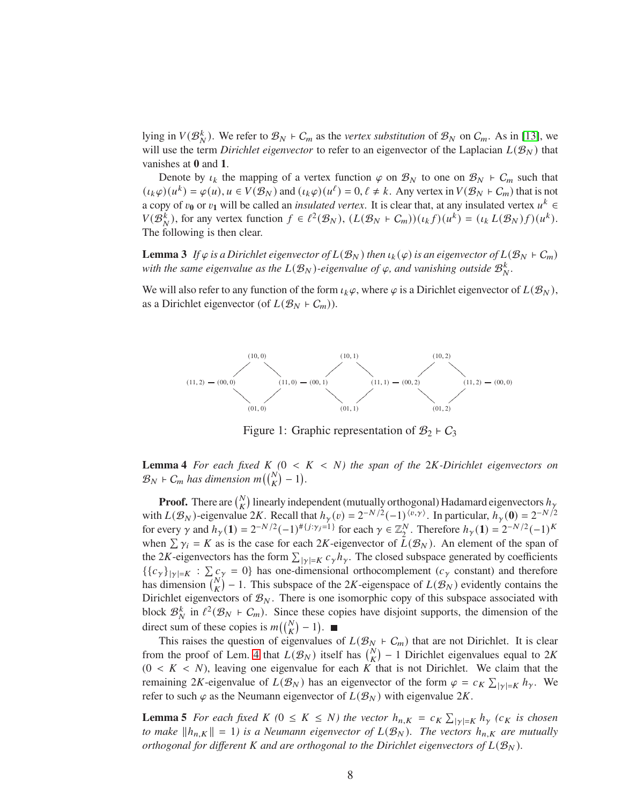lying in  $V(\mathcal{B}_N^k)$ . We refer to  $\mathcal{B}_N \vdash C_m$  as the *vertex substitution* of  $\mathcal{B}_N$  on  $C_m$ . As in [\[13\]](#page-21-7), we will use the term *Dirichlet eigenvector* to refer to an eigenvector of the Laplacian  $L(\mathcal{B}_N)$  that vanishes at **0** and **1**.

Denote by  $\iota_k$  the mapping of a vertex function  $\varphi$  on  $\mathcal{B}_N$  to one on  $\mathcal{B}_N$  ⊢  $C_m$  such that  $(\iota_k \varphi)(u^k) = \varphi(u), u \in V(\mathcal{B}_N)$  and  $(\iota_k \varphi)(u^{\ell}) = 0, \ell \neq k$ . Any vertex in  $V(\mathcal{B}_N \vdash C_m)$  that is not a copy of  $v_0$  or  $v_1$  will be called an *insulated vertex*. It is clear that, at any insulated vertex  $u^k \in$  $V(\mathcal{B}_N^k)$ , for any vertex function  $f \in \ell^2(\mathcal{B}_N)$ ,  $(L(\mathcal{B}_N + C_m))(u_k f)(u^k) = (u_k L(\mathcal{B}_N) f)(u^k)$ . The following is then clear.

**Lemma 3** *If*  $\varphi$  *is a Dirichlet eigenvector of*  $L(\mathcal{B}_N)$  *then*  $\iota_k(\varphi)$  *is an eigenvector of*  $L(\mathcal{B}_N + \mathcal{C}_m)$ with the same eigenvalue as the  $L(\mathcal{B}_N)$ -eigenvalue of  $\varphi$ , and vanishing outside  $\mathcal{B}_N^k$ .

We will also refer to any function of the form  $\iota_k \varphi$ , where  $\varphi$  is a Dirichlet eigenvector of  $L(\mathcal{B}_N)$ , as a Dirichlet eigenvector (of  $L(\mathcal{B}_N \rvert C_m)$ ).



<span id="page-7-0"></span>Figure 1: Graphic representation of  $\mathcal{B}_2$  ⊢  $C_3$ 

<span id="page-7-1"></span>**Lemma 4** For each fixed  $K$   $(0 \lt K \lt N)$  the span of the 2K-Dirichlet eigenvectors on  $\mathcal{B}_N \vdash C_m$  has dimension  $m\left(\binom{N}{K} - 1\right)$ .

**Proof.** There are  $\binom{N}{K}$  linearly independent (mutually orthogonal) Hadamard eigenvectors  $h_{\gamma}$ with  $L(\mathcal{B}_N)$ -eigenvalue 2K. Recall that  $h_\gamma(v) = 2^{-N/2}(-1)^{\langle v, \gamma \rangle}$ . In particular,  $h_\gamma(0) = 2^{-N/2}$ for every  $\gamma$  and  $h_{\gamma}(1) = 2^{-N/2}(-1)^{\# \{j : \gamma_j = 1\}}$  for each  $\gamma \in \mathbb{Z}_2^N$ . Therefore  $h_{\gamma}(1) = 2^{-N/2}(-1)^K$ when  $\sum \gamma_i = K$  as is the case for each 2K-eigenvector of  $\bar{L}(\mathcal{B}_N)$ . An element of the span of the 2K-eigenvectors has the form  $\sum_{|\gamma|=K} c_{\gamma} h_{\gamma}$ . The closed subspace generated by coefficients  ${C_{\gamma}}_{|\gamma|=K}$  :  $\sum_{N} c_{\gamma} = 0$ } has one-dimensional orthocomplement ( $c_{\gamma}$  constant) and therefore has dimension  $\binom{N}{K} - 1$ . This subspace of the 2K-eigenspace of  $L(\mathcal{B}_N)$  evidently contains the Dirichlet eigenvectors of  $\mathcal{B}_N$ . There is one isomorphic copy of this subspace associated with block  $\mathcal{B}_N^k$  in  $\ell^2(\mathcal{B}_N + C_m)$ . Since these copies have disjoint supports, the dimension of the direct sum of these copies is  $m\left(\binom{N}{K} - 1\right)$ .

This raises the question of eigenvalues of  $L(\mathcal{B}_N + C_m)$  that are not Dirichlet. It is clear from the proof of Lem. [4](#page-7-1) that  $L(\mathcal{B}_N)$  itself has  $\binom{N}{K}$  – 1 Dirichlet eigenvalues equal to 2K  $(0 < K < N)$ , leaving one eigenvalue for each K that is not Dirichlet. We claim that the remaining 2K-eigenvalue of  $L(\mathcal{B}_N)$  has an eigenvector of the form  $\varphi = c_K \sum_{|\gamma|=K} h_\gamma$ . We refer to such  $\varphi$  as the Neumann eigenvector of  $L(\mathcal{B}_N)$  with eigenvalue  $2K$ .

**Lemma 5** *For each fixed*  $K$  ( $0 \le K \le N$ ) the vector  $h_{n,K} = c_K \sum_{|\gamma|=K} h_{\gamma}$  ( $c_K$  is chosen *to make*  $||h_{n,K}|| = 1$ *) is a Neumann eigenvector of*  $L(\mathcal{B}_N)$ *. The vectors*  $h_{n,K}$  *are mutually orthogonal for different* K and are orthogonal to the Dirichlet eigenvectors of  $L(\mathcal{B}_N)$ .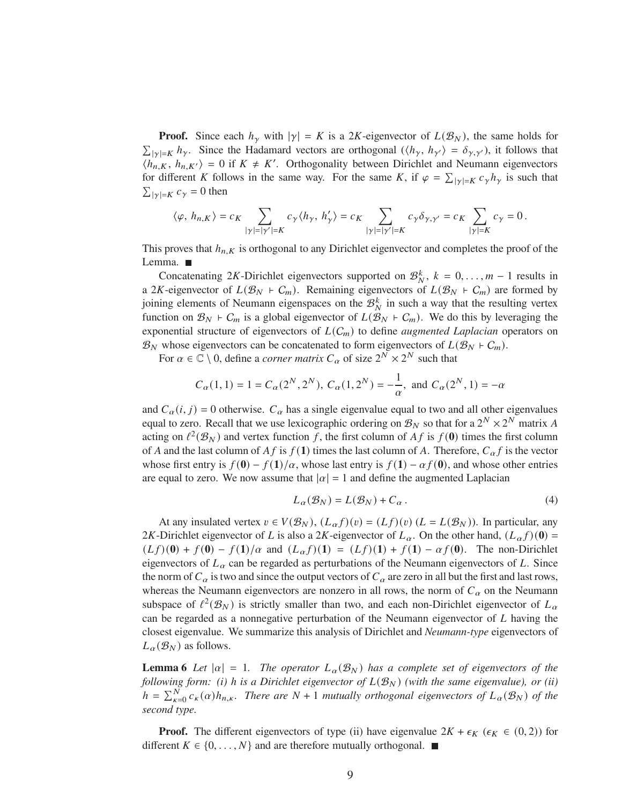**Proof.** Since each  $h_{\gamma}$  with  $|\gamma| = K$  is a 2K-eigenvector of  $L(\mathcal{B}_N)$ , the same holds for  $\sum_{|\gamma|=K} h_{\gamma}$ . Since the Hadamard vectors are orthogonal  $(\langle h_{\gamma}, h_{\gamma'} \rangle = \delta_{\gamma, \gamma'})$ , it follows that  $\langle h_{n,K}, h_{n,K'} \rangle = 0$  if  $K \neq K'$ . Orthogonality between Dirichlet and Neumann eigenvectors for different K follows in the same way. For the same K, if  $\varphi = \sum_{|\gamma|=K} c_{\gamma} h_{\gamma}$  is such that  $\sum_{|\gamma|=K} c_{\gamma} = 0$  then

$$
\langle \varphi, \, h_{n,K} \rangle = c_K \sum_{|\gamma|=|\gamma'|=K} c_\gamma \langle h_\gamma , \, h'_\gamma \rangle = c_K \sum_{|\gamma|=|\gamma'|=K} c_\gamma \delta_{\gamma,\gamma'} = c_K \sum_{|\gamma|=K} c_\gamma = 0 \, .
$$

This proves that  $h_{n,K}$  is orthogonal to any Dirichlet eigenvector and completes the proof of the Lemma. ■

Concatenating 2K-Dirichlet eigenvectors supported on  $\mathcal{B}_N^k$ ,  $k = 0, \ldots, m - 1$  results in a 2K-eigenvector of  $L(\mathcal{B}_N + C_m)$ . Remaining eigenvectors of  $L(\mathcal{B}_N + C_m)$  are formed by joining elements of Neumann eigenspaces on the  $\mathcal{B}_{N}^{k}$  in such a way that the resulting vertex function on  $\mathcal{B}_N$  ⊢  $C_m$  is a global eigenvector of  $L(\mathcal{B}_N + C_m)$ . We do this by leveraging the exponential structure of eigenvectors of  $L(C_m)$  to define *augmented Laplacian* operators on  $\mathcal{B}_N$  whose eigenvectors can be concatenated to form eigenvectors of  $L(\mathcal{B}_N \rvert C_m)$ .

For  $\alpha \in \mathbb{C} \setminus 0$ , define a *corner matrix*  $C_{\alpha}$  of size  $2^N \times 2^N$  such that

$$
C_{\alpha}(1, 1) = 1 = C_{\alpha}(2^N, 2^N), C_{\alpha}(1, 2^N) = -\frac{1}{\alpha}
$$
, and  $C_{\alpha}(2^N, 1) = -\alpha$ 

and  $C_{\alpha}(i, j) = 0$  otherwise.  $C_{\alpha}$  has a single eigenvalue equal to two and all other eigenvalues equal to zero. Recall that we use lexicographic ordering on  $\mathcal{B}_N$  so that for a  $2^N \times 2^N$  matrix A acting on  $\ell^2(\mathcal{B}_N)$  and vertex function f, the first column of  $Af$  is  $f(\mathbf{0})$  times the first column of A and the last column of  $Af$  is  $f(1)$  times the last column of A. Therefore,  $C_{\alpha}f$  is the vector whose first entry is  $f(\mathbf{0}) - f(\mathbf{1})/\alpha$ , whose last entry is  $f(\mathbf{1}) - \alpha f(\mathbf{0})$ , and whose other entries are equal to zero. We now assume that  $|\alpha| = 1$  and define the augmented Laplacian

$$
L_{\alpha}(\mathcal{B}_N) = L(\mathcal{B}_N) + C_{\alpha}.
$$
 (4)

At any insulated vertex  $v \in V(\mathcal{B}_N)$ ,  $(L_\alpha f)(v) = (Lf)(v) (L = L(\mathcal{B}_N))$ . In particular, any 2K-Dirichlet eigenvector of L is also a 2K-eigenvector of  $L_{\alpha}$ . On the other hand,  $(L_{\alpha} f)(0)$  =  $(Lf)(0) + f(0) - f(1)/\alpha$  and  $(L_{\alpha}f)(1) = (Lf)(1) + f(1) - \alpha f(0)$ . The non-Dirichlet eigenvectors of  $L_{\alpha}$  can be regarded as perturbations of the Neumann eigenvectors of L. Since the norm of  $C_{\alpha}$  is two and since the output vectors of  $C_{\alpha}$  are zero in all but the first and last rows, whereas the Neumann eigenvectors are nonzero in all rows, the norm of  $C_{\alpha}$  on the Neumann subspace of  $\ell^2(\mathcal{B}_N)$  is strictly smaller than two, and each non-Dirichlet eigenvector of  $L_\alpha$ can be regarded as a nonnegative perturbation of the Neumann eigenvector of  $L$  having the closest eigenvalue. We summarize this analysis of Dirichlet and *Neumann-type* eigenvectors of  $L_{\alpha}(\mathcal{B}_N)$  as follows.

<span id="page-8-0"></span>**Lemma 6** Let  $|\alpha| = 1$ . The operator  $L_{\alpha}(\mathcal{B}_N)$  has a complete set of eigenvectors of the *following form: (i) h is a Dirichlet eigenvector of*  $L(\mathcal{B}_N)$  *(with the same eigenvalue), or (ii)*  $h = \sum_{\kappa=0}^{N} c_{\kappa}(\alpha) h_{n,\kappa}$ . There are  $N+1$  mutually orthogonal eigenvectors of  $L_{\alpha}(\mathcal{B}_N)$  of the *second type.*

**Proof.** The different eigenvectors of type (ii) have eigenvalue  $2K + \epsilon_K$  ( $\epsilon_K \in (0, 2)$ ) for different  $K \in \{0, \ldots, N\}$  and are therefore mutually orthogonal. ■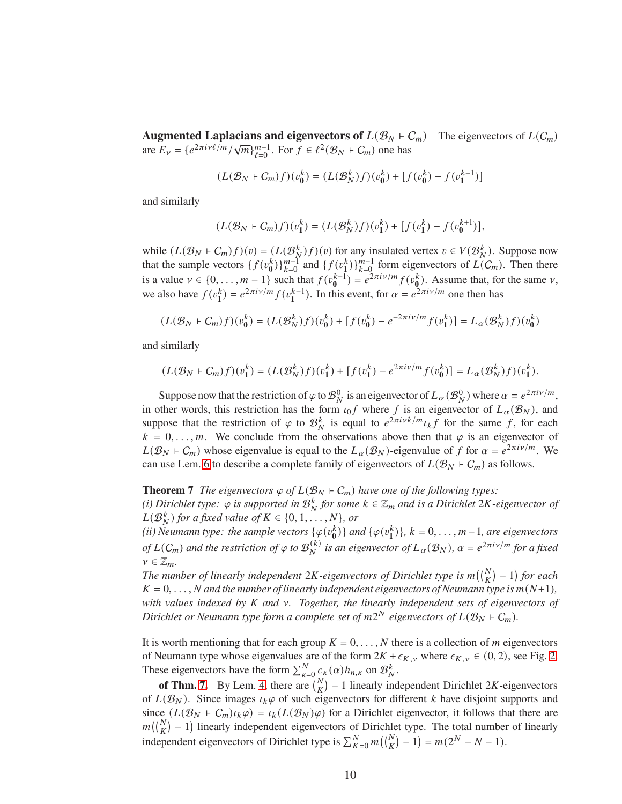**Augmented Laplacians and eigenvectors of**  $L(\mathcal{B}_N \rvert \mathcal{C}_m)$  The eigenvectors of  $L(\mathcal{C}_m)$ are  $E_v = \{e^{2\pi i v \ell/m} / \sqrt{m}\}_{\ell=0}^{m-1}$ . For  $f \in \ell^2(\mathcal{B}_N + \mathcal{C}_m)$  one has

$$
(L(\mathcal{B}_N + C_m)f)(v_0^k) = (L(\mathcal{B}_N^k)f)(v_0^k) + [f(v_0^k) - f(v_1^{k-1})]
$$

and similarly

$$
(L(\mathcal{B}_N + C_m)f)(v_1^k) = (L(\mathcal{B}_N^k)f)(v_1^k) + [f(v_1^k) - f(v_0^{k+1})],
$$

while  $(L(\mathcal{B}_N \models C_m)f)(v) = (L(\mathcal{B}_N^k)f)(v)$  for any insulated vertex  $v \in V(\mathcal{B}_N^k)$ . Suppose now that the sample vectors  $\{f(v_0^k)\}_{k=0}^{m-1}$  and  $\{f(v_1^k)\}_{k=0}^{m-1}$  form eigenvectors of  $L(C_m)$ . Then there is a value  $v \in \{0, ..., m-1\}$  such that  $f(v_0^{k+1}) = e^{2\pi i v/m} f(v_0^k)$ . Assume that, for the same  $v$ , we also have  $f(v_1^k) = e^{2\pi i v/m} f(v_1^{k-1})$ . In this event, for  $\alpha = e^{2\pi i v/m}$  one then has

$$
(L(\mathcal{B}_N + C_m)f)(v_0^k) = (L(\mathcal{B}_N^k)f)(v_0^k) + [f(v_0^k) - e^{-2\pi i v/m} f(v_1^k)] = L_\alpha(\mathcal{B}_N^k)f)(v_0^k)
$$

and similarly

$$
(L(\mathcal{B}_N + C_m)f)(v_1^k) = (L(\mathcal{B}_N^k)f)(v_1^k) + [f(v_1^k) - e^{2\pi i \nu/m} f(v_0^k)] = L_\alpha(\mathcal{B}_N^k)f)(v_1^k).
$$

Suppose now that the restriction of  $\varphi$  to  $\mathcal{B}_N^0$  is an eigenvector of  $L_\alpha(\mathcal{B}_N^0)$  where  $\alpha = e^{2\pi i \nu/m}$ , in other words, this restriction has the form  $\iota_0 f$  where f is an eigenvector of  $L_{\alpha}(\mathcal{B}_N)$ , and suppose that the restriction of  $\varphi$  to  $\mathcal{B}_N^k$  is equal to  $e^{2\pi i v k/m} \iota_k f$  for the same f, for each  $k = 0, \ldots, m$ . We conclude from the observations above then that  $\varphi$  is an eigenvector of  $L(\mathcal{B}_N \vdash C_m)$  whose eigenvalue is equal to the  $L_{\alpha}(\mathcal{B}_N)$ -eigenvalue of f for  $\alpha = e^{2\pi i \nu/m}$ . We can use Lem. [6](#page-8-0) to describe a complete family of eigenvectors of  $L(\mathcal{B}_N + C_m)$  as follows.

<span id="page-9-0"></span>**Theorem 7** *The eigenvectors*  $\varphi$  *of*  $L(\mathcal{B}_N \rightharpoonup C_m)$  *have one of the following types:* 

*(i) Dirichlet type:*  $\varphi$  *is supported in*  $\mathcal{B}_N^k$  *for some*  $k \in \mathbb{Z}_m$  *and is a Dirichlet* 2*K*-*eigenvector of*  $L(\mathcal{B}_N^k)$  for a fixed value of  $K \in \{0, 1, \ldots, N\}$ *, or* 

(*ii*) Neumann type: the sample vectors  $\{\varphi(v_0^k)\}\$  and  $\{\varphi(v_1^k)\}\$ ,  $k = 0, \ldots, m-1$ , are eigenvectors *of*  $L(C_m)$  and the restriction of  $\varphi$  to  $\mathcal{B}_N^{(k)}$  is an eigenvector of  $L_\alpha(\mathcal{B}_N)$ ,  $\alpha = e^{2\pi i \nu/m}$  for a fixed  $\nu \in \mathbb{Z}_m$ .

*The number of linearly independent*  $2K$ -eigenvectors of Dirichlet type is  $m\binom{N}{K} - 1$  for each  $K = 0, \ldots, N$  and the number of linearly independent eigenvectors of Neumann type is  $m(N+1)$ , *with values indexed by K and v. Together, the linearly independent sets of eigenvectors of Dirichlet or Neumann type form a complete set of*  $m2^N$  *eigenvectors of*  $L(\mathcal{B}_N + \mathcal{C}_m)$ *.* 

It is worth mentioning that for each group  $K = 0, \ldots, N$  there is a collection of m eigenvectors of Neumann type whose eigenvalues are of the form  $2K + \epsilon_{K,\nu}$  where  $\epsilon_{K,\nu} \in (0, 2)$ , see Fig. [2.](#page-12-0) These eigenvectors have the form  $\sum_{\kappa=0}^{N} c_{\kappa}(\alpha) h_{n,\kappa}$  on  $\mathcal{B}_{N}^{k}$ .

**of Thm.** [7.](#page-9-0) By Lem. [4,](#page-7-1) there are  $\binom{N}{K}$  – 1 linearly independent Dirichlet 2K-eigenvectors of  $L(\mathcal{B}_N)$ . Since images  $\iota_k \varphi$  of such eigenvectors for different k have disjoint supports and since  $(L(\mathcal{B}_N \rvert \mathcal{C}_m)\iota_k \varphi) = \iota_k(L(\mathcal{B}_N) \varphi)$  for a Dirichlet eigenvector, it follows that there are  $m({N \choose K} - 1)$  linearly independent eigenvectors of Dirichlet type. The total number of linearly independent eigenvectors of Dirichlet type is  $\sum_{K=0}^{N} m\left(\binom{N}{K} - 1\right) = m(2^N - N - 1)$ .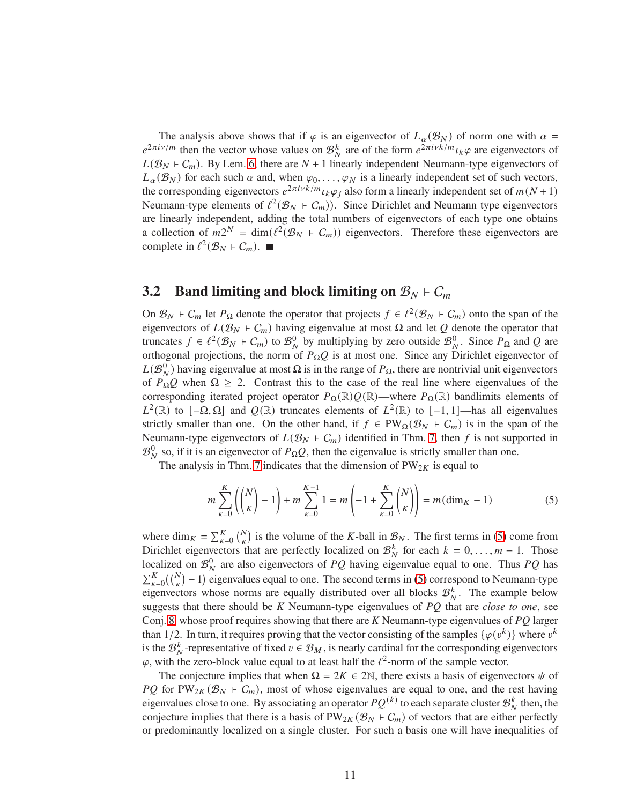The analysis above shows that if  $\varphi$  is an eigenvector of  $L_{\alpha}(\mathcal{B}_N)$  of norm one with  $\alpha =$  $e^{2\pi i v/m}$  then the vector whose values on  $\mathcal{B}_N^k$  are of the form  $e^{2\pi i v k/m}$   $l_k \varphi$  are eigenvectors of  $L(\mathcal{B}_N + C_m)$ . By Lem. [6,](#page-8-0) there are  $N + 1$  linearly independent Neumann-type eigenvectors of  $L_{\alpha}(\mathcal{B}_N)$  for each such  $\alpha$  and, when  $\varphi_0, \ldots, \varphi_N$  is a linearly independent set of such vectors, the corresponding eigenvectors  $e^{2\pi i v k/m} u_k \varphi_j$  also form a linearly independent set of  $m(N+1)$ Neumann-type elements of  $\ell^2(\mathcal{B}_N + C_m)$ ). Since Dirichlet and Neumann type eigenvectors are linearly independent, adding the total numbers of eigenvectors of each type one obtains a collection of  $m2^N = \dim(\ell^2(\mathcal{B}_N + C_m))$  eigenvectors. Therefore these eigenvectors are complete in  $\ell^2(\mathcal{B}_N \rvert C_m)$ .

#### <span id="page-10-0"></span>**3.2 Band limiting and block limiting on**  $B_N$  ⊢  $C_m$

On  $\mathcal{B}_N$  ⊢  $C_m$  let  $P_{\Omega}$  denote the operator that projects  $f \in \ell^2(\mathcal{B}_N + C_m)$  onto the span of the eigenvectors of  $L(\mathcal{B}_N + C_m)$  having eigenvalue at most  $\Omega$  and let  $Q$  denote the operator that truncates  $f \in \ell^2(\mathcal{B}_N + C_m)$  to  $\mathcal{B}_N^0$  by multiplying by zero outside  $\mathcal{B}_N^0$ . Since  $P_\Omega$  and Q are orthogonal projections, the norm of  $P_{\Omega}Q$  is at most one. Since any Dirichlet eigenvector of  $L(\mathcal{B}_N^0)$  having eigenvalue at most  $\Omega$  is in the range of  $P_{\Omega}$ , there are nontrivial unit eigenvectors of  $P_{\Omega}Q$  when  $\Omega \geq 2$ . Contrast this to the case of the real line where eigenvalues of the corresponding iterated project operator  $P_{\Omega}(\mathbb{R})\mathcal{Q}(\mathbb{R})$ —where  $P_{\Omega}(\mathbb{R})$  bandlimits elements of  $L^2(\mathbb{R})$  to  $[-\Omega, \Omega]$  and  $Q(\mathbb{R})$  truncates elements of  $L^2(\mathbb{R})$  to  $[-1, 1]$ —has all eigenvalues strictly smaller than one. On the other hand, if  $f \in PW_{\Omega}(\mathcal{B}_N + C_m)$  is in the span of the Neumann-type eigenvectors of  $L(\mathcal{B}_N + C_m)$  identified in Thm. [7,](#page-9-0) then f is not supported in  $\mathcal{B}_N^0$  so, if it is an eigenvector of  $P_{\Omega}Q$ , then the eigenvalue is strictly smaller than one.

The analysis in Thm. [7](#page-9-0) indicates that the dimension of  $PW_{2K}$  is equal to

<span id="page-10-1"></span>
$$
m\sum_{\kappa=0}^{K} \left( \binom{N}{\kappa} - 1 \right) + m\sum_{\kappa=0}^{K-1} 1 = m \left( -1 + \sum_{\kappa=0}^{K} \binom{N}{\kappa} \right) = m(\dim_K - 1) \tag{5}
$$

where dim<sub>K</sub> =  $\sum_{k=0}^{K} {N \choose k}$  is the volume of the K-ball in  $\mathcal{B}_N$ . The first terms in [\(5\)](#page-10-1) come from Dirichlet eigenvectors that are perfectly localized on  $\mathcal{B}_N^k$  for each  $k = 0, \ldots, m - 1$ . Those localized on  $\mathcal{B}_N^0$  are also eigenvectors of PQ having eigenvalue equal to one. Thus PQ has  $\sum_{k=0}^{K} {N \choose k} - 1$  eigenvalues equal to one. The second terms in [\(5\)](#page-10-1) correspond to Neumann-type eigenvectors whose norms are equally distributed over all blocks  $\mathcal{B}_{N}^{k}$ . The example below suggests that there should be K Neumann-type eigenvalues of PQ that are *close to one*, see Conj. [8,](#page-11-0) whose proof requires showing that there are  $K$  Neumann-type eigenvalues of  $PQ$  larger than 1/2. In turn, it requires proving that the vector consisting of the samples  $\{\varphi(v^k)\}\$  where  $v^k$ is the  $\mathcal{B}_{N}^{k}$ -representative of fixed  $v \in \mathcal{B}_{M}$ , is nearly cardinal for the corresponding eigenvectors  $\varphi$ , with the zero-block value equal to at least half the  $\ell^2$ -norm of the sample vector.

The conjecture implies that when  $\Omega = 2K \in 2\mathbb{N}$ , there exists a basis of eigenvectors  $\psi$  of *PQ* for PW<sub>2K</sub> ( $\mathcal{B}_N$  ⊢  $C_m$ ), most of whose eigenvalues are equal to one, and the rest having eigenvalues close to one. By associating an operator  $PQ^{(k)}$  to each separate cluster  $\mathcal{B}_{N}^{k}$  then, the conjecture implies that there is a basis of PW<sub>2K</sub> ( $\mathcal{B}_N$  ⊢  $C_m$ ) of vectors that are either perfectly or predominantly localized on a single cluster. For such a basis one will have inequalities of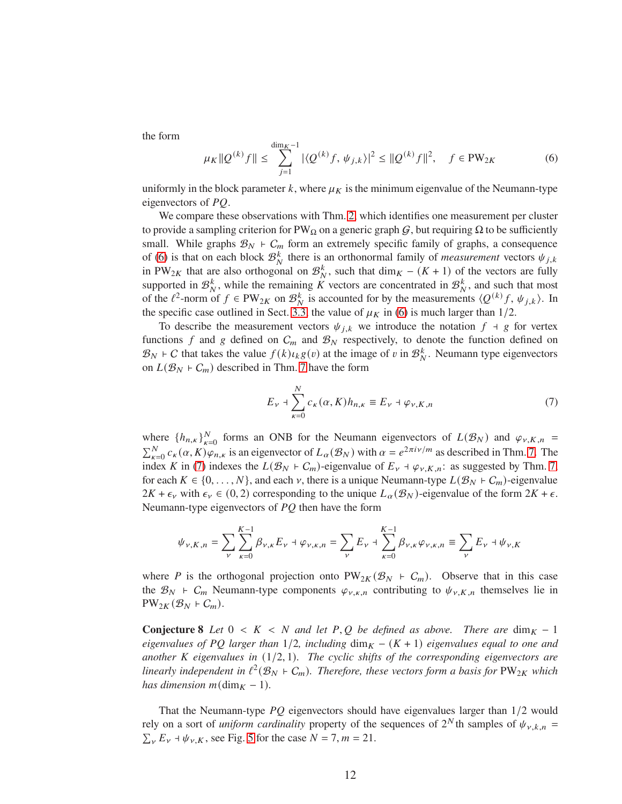the form

<span id="page-11-1"></span>
$$
\mu_K \| Q^{(k)} f \| \le \sum_{j=1}^{\dim_K - 1} |\langle Q^{(k)} f, \psi_{j,k} \rangle|^2 \le \| Q^{(k)} f \|^{2}, \quad f \in PW_{2K}
$$
 (6)

uniformly in the block parameter  $k$ , where  $\mu_K$  is the minimum eigenvalue of the Neumann-type eigenvectors of  $PQ$ .

We compare these observations with Thm. [2,](#page-4-1) which identifies one measurement per cluster to provide a sampling criterion for PW<sub>Ω</sub> on a generic graph  $G$ , but requiring  $\Omega$  to be sufficiently small. While graphs  $\mathcal{B}_N$  ⊢  $C_m$  form an extremely specific family of graphs, a consequence of [\(6\)](#page-11-1) is that on each block  $\mathcal{B}_N^k$  there is an orthonormal family of *measurement* vectors  $\psi_{j,k}$ in PW<sub>2K</sub> that are also orthogonal on  $\mathcal{B}_{N}^{k}$ , such that dim<sub>K</sub> – (K + 1) of the vectors are fully supported in  $\mathcal{B}_{N}^{k}$ , while the remaining  $\tilde{K}$  vectors are concentrated in  $\mathcal{B}_{N}^{k}$ , and such that most of the  $\ell^2$ -norm of  $f \in PW_{2K}$  on  $\mathcal{B}_N^k$  is accounted for by the measurements  $\langle Q^{(k)}f, \psi_{j,k} \rangle$ . In the specific case outlined in Sect. [3.3,](#page-14-0) the value of  $\mu_K$  in [\(6\)](#page-11-1) is much larger than 1/2.

To describe the measurement vectors  $\psi_{j,k}$  we introduce the notation  $f + g$  for vertex functions f and g defined on  $C_m$  and  $\mathcal{B}_N$  respectively, to denote the function defined on  $\mathcal{B}_N$  ⊢ C that takes the value  $f(k)u_k g(v)$  at the image of v in  $\mathcal{B}_N^k$ . Neumann type eigenvectors on  $L(\mathcal{B}_N \rvert C_m)$  described in Thm. [7](#page-9-0) have the form

<span id="page-11-2"></span>
$$
E_{\nu} + \sum_{\kappa=0}^{N} c_{\kappa}(\alpha, K) h_{n,\kappa} \equiv E_{\nu} + \varphi_{\nu, K, n}
$$
 (7)

where  $\{h_{n,k}\}_{k=0}^N$  forms an ONB for the Neumann eigenvectors of  $L(\mathcal{B}_N)$  and  $\varphi_{\nu,K,n}$  =  $\sum_{k=0}^{N} c_k(\alpha, K) \varphi_{n,k}$  is an eigenvector of  $L_\alpha(\mathcal{B}_N)$  with  $\alpha = e^{2\pi i \nu/m}$  as described in Thm. [7.](#page-9-0) The index K in [\(7\)](#page-11-2) indexes the  $L(\mathcal{B}_N \rvert C_m)$ -eigenvalue of  $E_{\nu} \rvert \varphi_{\nu,K,n}$ : as suggested by Thm. [7,](#page-9-0) for each  $K \in \{0, \ldots, N\}$ , and each  $\nu$ , there is a unique Neumann-type  $L(\mathcal{B}_N + C_m)$ -eigenvalue  $2K + \epsilon_y$  with  $\epsilon_y \in (0, 2)$  corresponding to the unique  $L_\alpha(\mathcal{B}_N)$ -eigenvalue of the form  $2K + \epsilon$ . Neumann-type eigenvectors of  $PQ$  then have the form

$$
\psi_{\nu,K,n} = \sum_{\nu} \sum_{\kappa=0}^{K-1} \beta_{\nu,\kappa} E_{\nu} + \varphi_{\nu,\kappa,n} = \sum_{\nu} E_{\nu} + \sum_{\kappa=0}^{K-1} \beta_{\nu,\kappa} \varphi_{\nu,\kappa,n} \equiv \sum_{\nu} E_{\nu} + \psi_{\nu,K}
$$

where P is the orthogonal projection onto PW<sub>2K</sub> ( $\mathcal{B}_N$  ⊢ C<sub>m</sub>). Observe that in this case the  $\mathcal{B}_N$  +  $C_m$  Neumann-type components  $\varphi_{\nu,\kappa,n}$  contributing to  $\psi_{\nu,K,n}$  themselves lie in  $PW_{2K}(\mathcal{B}_N \dashv C_m).$ 

<span id="page-11-0"></span>**Conjecture 8** *Let*  $0 < K < N$  *and let*  $P, Q$  *be defined as above. There are* dim $_K - 1$ *eigenvalues of PQ larger than*  $1/2$ *, including* dim<sub>K</sub> – (K + 1) *eigenvalues equal to one and another K eigenvalues in* (1/2, 1)*. The cyclic shifts of the corresponding eigenvectors are* linearly independent in  $\ell^2(\mathcal{B}_N + \mathcal{C}_m)$ . Therefore, these vectors form a basis for  $PW_{2K}$  which *has dimension*  $m(\text{dim}_K - 1)$ *.* 

That the Neumann-type  $PQ$  eigenvectors should have eigenvalues larger than  $1/2$  would rely on a sort of *uniform cardinality* property of the sequences of  $2^N$ th samples of  $\psi_{\nu,k,n}$  =  $\sum_{V} E_{V} + \psi_{V,K}$ , see Fig. [5](#page-13-0) for the case  $N = 7, m = 21$ .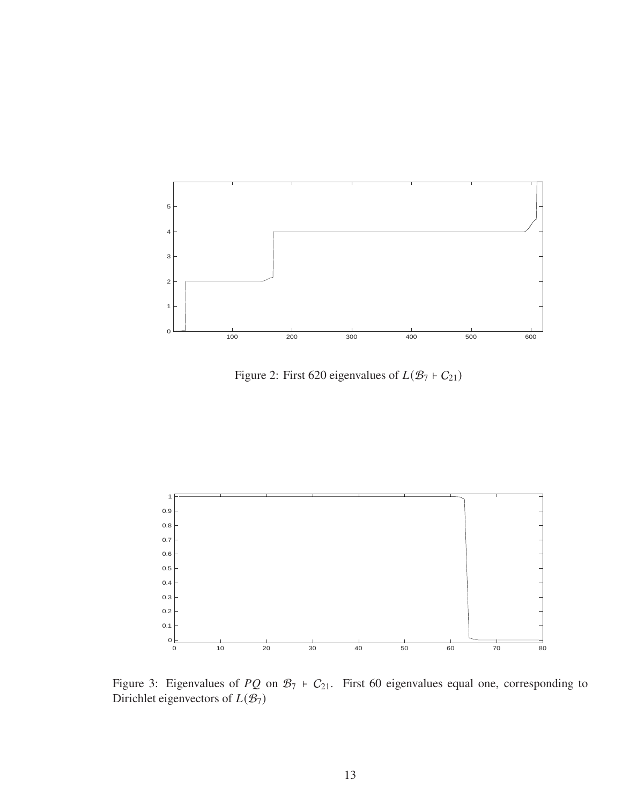

<span id="page-12-0"></span>Figure 2: First 620 eigenvalues of  $L(\mathcal{B}_7 \rvert C_{21})$ 



<span id="page-12-1"></span>Figure 3: Eigenvalues of  $PQ$  on  $B_7 \vdash C_{21}$ . First 60 eigenvalues equal one, corresponding to Dirichlet eigenvectors of  $L(\mathcal{B}_7)$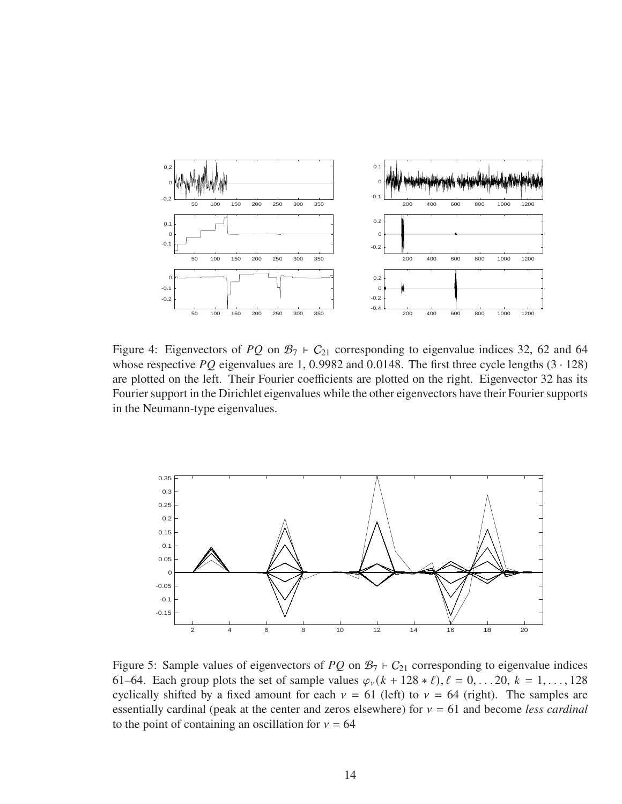

<span id="page-13-1"></span>Figure 4: Eigenvectors of PQ on  $\mathcal{B}_7$  +  $C_{21}$  corresponding to eigenvalue indices 32, 62 and 64 whose respective PQ eigenvalues are 1, 0.9982 and 0.0148. The first three cycle lengths  $(3 \cdot 128)$ are plotted on the left. Their Fourier coefficients are plotted on the right. Eigenvector 32 has its Fourier support in the Dirichlet eigenvalues while the other eigenvectors have their Fourier supports in the Neumann-type eigenvalues.



<span id="page-13-0"></span>Figure 5: Sample values of eigenvectors of  $PQ$  on  $B_7$  +  $C_{21}$  corresponding to eigenvalue indices 61–64. Each group plots the set of sample values  $\varphi_{\nu}(k + 128 * \ell), \ell = 0, \ldots, 20, k = 1, \ldots, 128$ cyclically shifted by a fixed amount for each  $v = 61$  (left) to  $v = 64$  (right). The samples are essentially cardinal (peak at the center and zeros elsewhere) for  $v = 61$  and become *less cardinal* to the point of containing an oscillation for  $v = 64$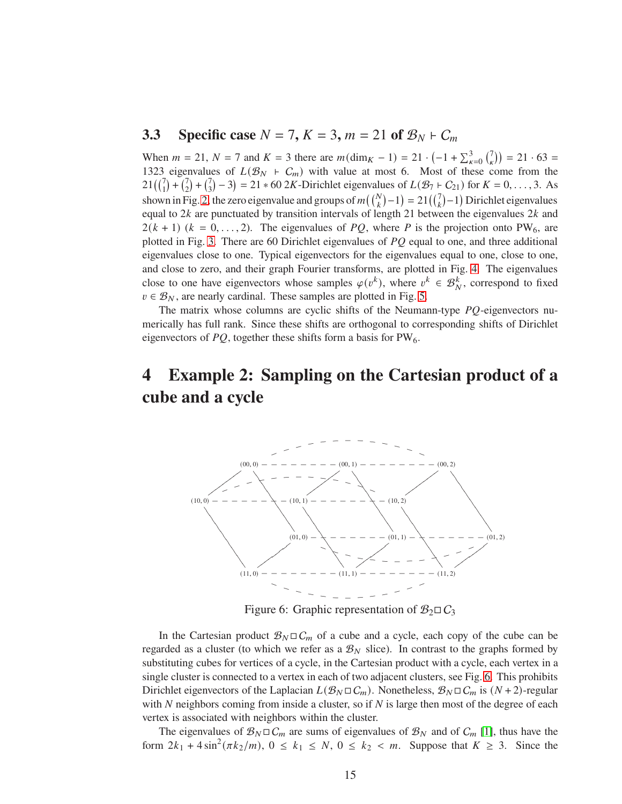### <span id="page-14-0"></span>**3.3** Specific case  $N = 7$ ,  $K = 3$ ,  $m = 21$  of  $\mathcal{B}_N$  ⊢  $C_m$

When  $m = 21$ ,  $N = 7$  and  $K = 3$  there are  $m(\text{dim}_K - 1) = 21 \cdot (-1 + \sum_{k=0}^{3} {7 \choose k}$  $\binom{7}{6}$  = 21 · 63 = 1323 eigenvalues of  $L(\mathcal{B}_N + C_m)$  with value at most 6. Most of these come from the  $21\left(\binom{7}{1} + \binom{7}{2}\right)$  $\binom{7}{2} + \binom{7}{3}$  $(\frac{7}{3}) - 3 = 21 * 60 \text{ } 2K$ -Dirichlet eigenvalues of  $L(\mathcal{B}_7 + \mathcal{C}_{21})$  for  $K = 0, ..., 3$ . As shown in Fig. [2,](#page-12-0) the zero eigenvalue and groups of  $m({N \choose k}-1) = 21({7 \choose k}-1)$  Dirichlet eigenvalues equal to  $2k$  are punctuated by transition intervals of length 21 between the eigenvalues  $2k$  and  $2(k + 1)$   $(k = 0, \ldots, 2)$ . The eigenvalues of PQ, where P is the projection onto PW<sub>6</sub>, are plotted in Fig. [3.](#page-12-1) There are 60 Dirichlet eigenvalues of  $PQ$  equal to one, and three additional eigenvalues close to one. Typical eigenvectors for the eigenvalues equal to one, close to one, and close to zero, and their graph Fourier transforms, are plotted in Fig. [4.](#page-13-1) The eigenvalues close to one have eigenvectors whose samples  $\varphi(v^k)$ , where  $v^k \in \mathcal{B}_N^k$ , correspond to fixed  $v \in \mathcal{B}_N$ , are nearly cardinal. These samples are plotted in Fig. [5.](#page-13-0)

The matrix whose columns are cyclic shifts of the Neumann-type  $PQ$ -eigenvectors numerically has full rank. Since these shifts are orthogonal to corresponding shifts of Dirichlet eigenvectors of  $PQ$ , together these shifts form a basis for  $PW_6$ .

## <span id="page-14-1"></span>**4 Example 2: Sampling on the Cartesian product of a cube and a cycle**



<span id="page-14-2"></span>Figure 6: Graphic representation of  $\mathcal{B}_2 \square \mathcal{C}_3$ 

In the Cartesian product  $\mathcal{B}_N \square C_m$  of a cube and a cycle, each copy of the cube can be regarded as a cluster (to which we refer as a  $\mathcal{B}_N$  slice). In contrast to the graphs formed by substituting cubes for vertices of a cycle, in the Cartesian product with a cycle, each vertex in a single cluster is connected to a vertex in each of two adjacent clusters, see Fig. [6.](#page-14-2) This prohibits Dirichlet eigenvectors of the Laplacian  $L(\mathcal{B}_N \square C_m)$ . Nonetheless,  $\mathcal{B}_N \square C_m$  is  $(N+2)$ -regular with N neighbors coming from inside a cluster, so if N is large then most of the degree of each vertex is associated with neighbors within the cluster.

The eigenvalues of  $\mathcal{B}_N \square C_m$  are sums of eigenvalues of  $\mathcal{B}_N$  and of  $C_m$  [\[1\]](#page-20-4), thus have the form  $2k_1 + 4\sin^2(\pi k_2/m)$ ,  $0 \le k_1 \le N$ ,  $0 \le k_2 < m$ . Suppose that  $K \ge 3$ . Since the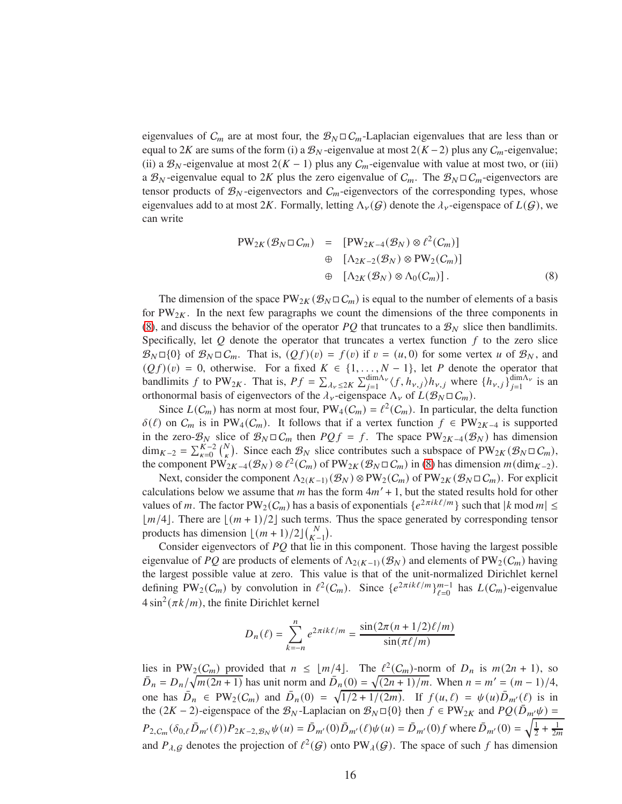eigenvalues of  $C_m$  are at most four, the  $B_N \square C_m$ -Laplacian eigenvalues that are less than or equal to 2K are sums of the form (i) a  $\mathcal{B}_N$ -eigenvalue at most 2(K – 2) plus any  $C_m$ -eigenvalue; (ii) a  $B_N$ -eigenvalue at most  $2(K-1)$  plus any  $C_m$ -eigenvalue with value at most two, or (iii) a  $\mathcal{B}_N$ -eigenvalue equal to 2K plus the zero eigenvalue of  $C_m$ . The  $\mathcal{B}_N \square C_m$ -eigenvectors are tensor products of  $\mathcal{B}_N$ -eigenvectors and  $\mathcal{C}_m$ -eigenvectors of the corresponding types, whose eigenvalues add to at most 2K. Formally, letting  $\Lambda_{\nu}(G)$  denote the  $\lambda_{\nu}$ -eigenspace of  $L(G)$ , we can write

<span id="page-15-0"></span>
$$
PW_{2K}(\mathcal{B}_N \square C_m) = [PW_{2K-4}(\mathcal{B}_N) \otimes \ell^2(C_m)]
$$
  
\n
$$
\oplus [\Lambda_{2K-2}(\mathcal{B}_N) \otimes PW_2(C_m)]
$$
  
\n
$$
\oplus [\Lambda_{2K}(\mathcal{B}_N) \otimes \Lambda_0(C_m)].
$$
\n(8)

The dimension of the space  $PW_{2K}(\mathcal{B}_N \square \mathcal{C}_m)$  is equal to the number of elements of a basis for PW<sub>2K</sub>. In the next few paragraphs we count the dimensions of the three components in [\(8\)](#page-15-0), and discuss the behavior of the operator PQ that truncates to a  $\mathcal{B}_N$  slice then bandlimits. Specifically, let  $Q$  denote the operator that truncates a vertex function  $f$  to the zero slice  $\mathcal{B}_N \Box \{0\}$  of  $\mathcal{B}_N \Box C_m$ . That is,  $(Qf)(v) = f(v)$  if  $v = (u, 0)$  for some vertex u of  $\mathcal{B}_N$ , and  $(Qf)(v) = 0$ , otherwise. For a fixed  $K \in \{1, ..., N-1\}$ , let P denote the operator that bandlimits f to PW<sub>2K</sub>. That is,  $Pf = \sum_{\lambda_v \leq 2K} \sum_{j=1}^{\dim \Lambda_v} \langle f, h_{v,j} \rangle h_{v,j}$  where  $\{h_{v,j}\}_{j=1}^{\dim \Lambda_v}$  $j=1$ <sup>um/ $\lambda_{\nu}$ </sup> is an orthonormal basis of eigenvectors of the  $\lambda_{\nu}$ -eigenspace  $\Lambda_{\nu}$  of  $L(\mathcal{B}_N \square C_m)$ .

Since  $L(C_m)$  has norm at most four,  $PW_4(C_m) = \ell^2(C_m)$ . In particular, the delta function  $\delta(\ell)$  on  $C_m$  is in PW<sub>4</sub>( $C_m$ ). It follows that if a vertex function  $f \in PW_{2K-4}$  is supported in the zero- $\mathcal{B}_N$  slice of  $\mathcal{B}_N \square C_m$  then  $PQf = f$ . The space PW<sub>2K-4</sub>( $\mathcal{B}_N$ ) has dimension  $\dim_{K-2} = \sum_{k=0}^{K-2} {N \choose k}$ . Since each  $\mathcal{B}_N$  slice contributes such a subspace of PW<sub>2K</sub> ( $\mathcal{B}_N \square C_m$ ), the component  $PW_{2K-4}(\mathcal{B}_N) \otimes \ell^2(\mathcal{C}_m)$  of  $PW_{2K}(\mathcal{B}_N \square \mathcal{C}_m)$  in [\(8\)](#page-15-0) has dimension  $m(\dim_{K-2})$ .

Next, consider the component  $\Lambda_{2(K-1)}(\mathcal{B}_N) \otimes PW_2(\mathcal{C}_m)$  of PW<sub>2K</sub> ( $\mathcal{B}_N \square \mathcal{C}_m$ ). For explicit calculations below we assume that  $m$  has the form  $4m' + 1$ , but the stated results hold for other values of *m*. The factor  $PW_2(C_m)$  has a basis of exponentials  $\{e^{2\pi i k\ell/m}\}\$  such that  $|k \text{ mod } m| \leq$  $\lfloor m/4 \rfloor$ . There are  $\lfloor (m + 1)/2 \rfloor$  such terms. Thus the space generated by corresponding tensor products has dimension  $\lfloor (m+1)/2 \rfloor {N \choose K-1}$ .

Consider eigenvectors of  $PQ$  that lie in this component. Those having the largest possible eigenvalue of PQ are products of elements of  $\Lambda_{2(K-1)}(\mathcal{B}_N)$  and elements of PW<sub>2</sub>( $C_m$ ) having the largest possible value at zero. This value is that of the unit-normalized Dirichlet kernel defining PW<sub>2</sub>( $C_m$ ) by convolution in  $\ell^2(C_m)$ . Since  $\{e^{2\pi i k\ell/m}\}_{\ell=0}^{m-1}$  has  $L(C_m)$ -eigenvalue  $4\sin^2(\pi k/m)$ , the finite Dirichlet kernel

$$
D_n(\ell) = \sum_{k=-n}^{n} e^{2\pi i k \ell / m} = \frac{\sin(2\pi (n + 1/2)\ell / m)}{\sin(\pi \ell / m)}
$$

lies in PW<sub>2</sub>( $C_m$ ) provided that  $n \leq \lfloor m/4 \rfloor$ . The  $\ell^2(C_m)$ -norm of  $D_n$  is  $m(2n + 1)$ , so  $\overline{D}_n = D_n / \sqrt{\frac{2(m)}{m(2n+1)}}$  has unit norm and  $\overline{D}_n(0) = \sqrt{\frac{2(n+1)}{m}}$ . When  $n = m' = (m-1)/4$ , one has  $\bar{D}_n \in PW_2(\mathcal{C}_m)$  and  $\bar{D}_n(0) = \sqrt{1/2 + 1/(2m)}$ . If  $f(u, \ell) = \psi(u)\bar{D}_{m'}(\ell)$  is in the  $(2K - 2)$ -eigenspace of the  $\mathcal{B}_N$ -Laplacian on  $\mathcal{B}_N \square \{0\}$  then  $f \in PW_{2K}$  and  $PQ(\overline{D}_{m'}\psi)$  =  $P_{2,C_m}(\delta_{0,\ell}\bar{D}_{m'}(\ell))P_{2K-2,\mathcal{B}_N}\psi(u) = \bar{D}_{m'}(0)\bar{D}_{m'}(\ell)\psi(u) = \bar{D}_{m'}(0)f$  where  $\bar{D}_{m'}(0) = \sqrt{\frac{1}{2}}$  $rac{1}{2} + \frac{1}{2m}$ and  $P_{\lambda,G}$  denotes the projection of  $\ell^2(G)$  onto PW<sub> $\lambda(G)$ </sub>. The space of such f has dimension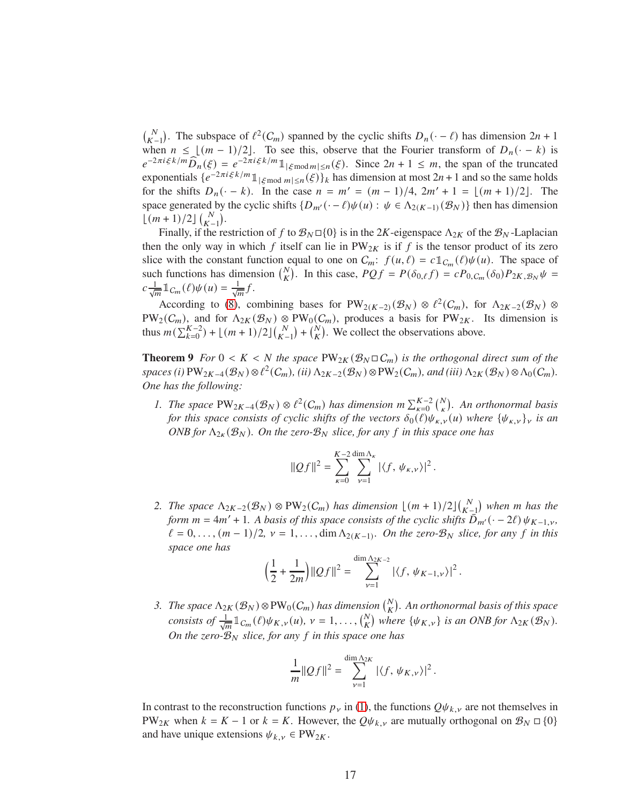$\binom{N}{K-1}$ . The subspace of  $\ell^2(C_m)$  spanned by the cyclic shifts  $D_n(\cdot - \ell)$  has dimension  $2n + 1$ when  $n \leq \lfloor (m-1)/2 \rfloor$ . To see this, observe that the Fourier transform of  $D_n(\cdot - k)$  is  $e^{-2\pi i \xi k/m} \widehat{D}_n(\xi) = e^{-2\pi i \xi k/m} \mathbb{1}_{|\xi \text{mod } m| \le n}(\xi)$ . Since  $2n + 1 \le m$ , the span of the truncated exponentials  $\{e^{-2\pi i \xi k/m} \mathbb{1}_{|\xi \bmod m| \le n}(\xi)\}\$ <sub>k</sub> has dimension at most  $2n+1$  and so the same holds for the shifts  $D_n(-k)$ . In the case  $n = m' = (m-1)/4$ ,  $2m' + 1 = \lfloor (m+1)/2 \rfloor$ . The space generated by the cyclic shifts  $\{D_{m'}(\cdot - \ell)\psi(u) : \psi \in \Lambda_{2(K-1)}(\mathcal{B}_N)\}\$  then has dimension  $\lfloor (m+1)/2 \rfloor \binom{N}{K-1}.$ 

Finally, if the restriction of f to  $\mathcal{B}_N \Box \{0\}$  is in the 2K-eigenspace  $\Lambda_{2K}$  of the  $\mathcal{B}_N$ -Laplacian then the only way in which f itself can lie in  $PW_{2K}$  is if f is the tensor product of its zero slice with the constant function equal to one on  $C_m$ :  $f(u, \ell) = c \mathbb{1}_{C_m}(\ell) \psi(u)$ . The space of such functions has dimension  $\binom{N}{K}$ . In this case,  $PQf = P(\delta_{0,\ell}f) = cP_{0,C_m}(\delta_0)P_{2K,\mathcal{B}_N}\psi =$  $c \frac{1}{\sqrt{m}} \mathbb{1}_{C_m}(\ell) \psi(u) = \frac{1}{\sqrt{m}} f.$ 

According to [\(8\)](#page-15-0), combining bases for  $PW_{2(K-2)}(\mathcal{B}_N) \otimes \ell^2(\mathcal{C}_m)$ , for  $\Lambda_{2K-2}(\mathcal{B}_N) \otimes$  $PW_2(C_m)$ , and for  $\Lambda_{2K}(\mathcal{B}_N) \otimes PW_0(C_m)$ , produces a basis for PW<sub>2K</sub>. Its dimension is thus  $m(\sum_{k=0}^{K-2}) + \lfloor (m+1)/2 \rfloor {N \choose K-1} + {N \choose K}$ . We collect the observations above.

<span id="page-16-0"></span>**Theorem 9** *For*  $0 < K < N$  *the space*  $PW_{2K}(\mathcal{B}_N \square C_m)$  *is the orthogonal direct sum of the*  $spaces(i) \cdot \text{PW}_{2K-4}(\mathcal{B}_N) \otimes \ell^2(\mathcal{C}_m), (ii) \wedge_{2K-2}(\mathcal{B}_N) \otimes \text{PW}_2(\mathcal{C}_m), and (iii) \wedge_{2K}(\mathcal{B}_N) \otimes \Lambda_0(\mathcal{C}_m).$ *One has the following:*

*1. The space*  $PW_{2K-4}(\mathcal{B}_N) \otimes \ell^2(\mathcal{C}_m)$  has dimension  $m \sum_{\kappa=0}^{K-2} {N \choose \kappa}$ . An orthonormal basis *for this space consists of cyclic shifts of the vectors*  $\delta_0(\ell)\psi_{\kappa,\nu}(u)$  where  $\{\psi_{\kappa,\nu}\}_\nu$  *is an ONB for*  $\Lambda_{2k}(\mathcal{B}_N)$ *. On the zero-* $\mathcal{B}_N$  *slice, for any* f *in this space one has* 

$$
||Qf||^2 = \sum_{\kappa=0}^{K-2} \sum_{\nu=1}^{\dim \Lambda_{\kappa}} |\langle f, \psi_{\kappa,\nu} \rangle|^2.
$$

2. The space  $\Lambda_{2K-2}(\mathcal{B}_N) \otimes PW_2(\mathcal{C}_m)$  has dimension  $\lfloor (m+1)/2 \rfloor \binom{N}{K-1}$  when m has the  $f \circ m$  = 4m' + 1*.* A basis of this space consists of the cyclic shifts  $\overline{D}_{m'}$  $\left(\cdot - 2\ell\right) \psi_{K-1,\nu}$ ,  $\ell = 0, \ldots, (m-1)/2, \nu = 1, \ldots, \dim \Lambda_{2(K-1)}$ . On the zero- $\mathcal{B}_N$  slice, for any f in this *space one has*

$$
\left(\frac{1}{2} + \frac{1}{2m}\right) ||Qf||^2 = \sum_{\nu=1}^{\dim \Lambda_{2K-2}} |\langle f, \psi_{K-1,\nu} \rangle|^2.
$$

*3. The space*  $\Lambda_{2K}(\mathcal{B}_N) \otimes PW_0(\mathcal{C}_m)$  has dimension  $\binom{N}{K}$ . An orthonormal basis of this space *consists of*  $\frac{1}{\sqrt{m}} \mathbb{1}_{C_m}(\ell) \psi_{K,\nu}(u), \nu = 1, \ldots, {N \choose K}$  where  $\{\psi_{K,\nu}\}\$  *is an ONB for*  $\Lambda_{2K}(\mathcal{B}_N)$ *. On the zero-* $B_N$  *slice, for any*  $f$  *in this space one has* 

$$
\frac{1}{m} ||Qf||^2 = \sum_{\nu=1}^{\dim \Lambda_{2K}} |\langle f, \psi_{K,\nu} \rangle|^2.
$$

In contrast to the reconstruction functions  $p_{\nu}$  in [\(1\)](#page-2-2), the functions  $Q\psi_{k,\nu}$  are not themselves in PW<sub>2K</sub> when  $k = K - 1$  or  $k = K$ . However, the  $Q\psi_{k,\nu}$  are mutually orthogonal on  $\mathcal{B}_N \square \{0\}$ and have unique extensions  $\psi_{k,\nu} \in PW_{2K}$ .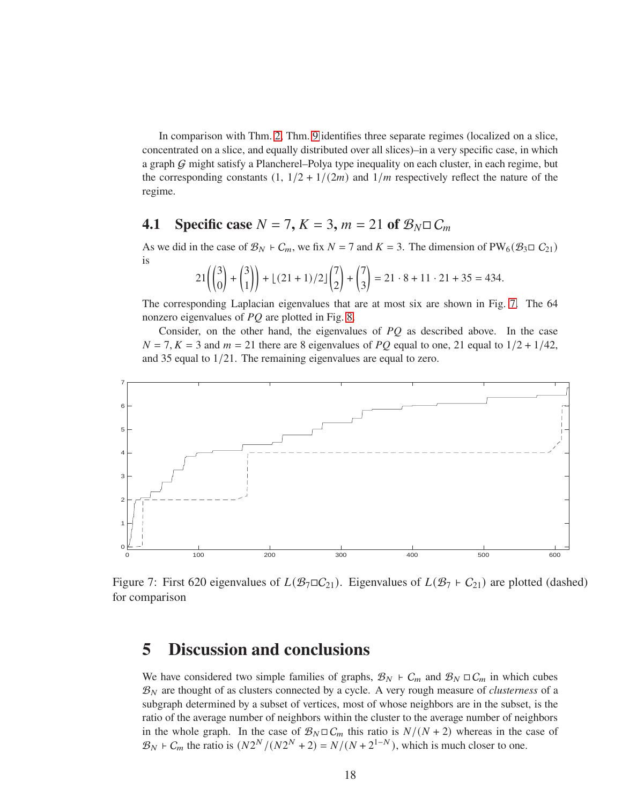In comparison with Thm. [2,](#page-4-1) Thm. [9](#page-16-0) identifies three separate regimes (localized on a slice, concentrated on a slice, and equally distributed over all slices)–in a very specific case, in which a graph G might satisfy a Plancherel–Polya type inequality on each cluster, in each regime, but the corresponding constants  $(1, 1/2 + 1/(2m)$  and  $1/m$  respectively reflect the nature of the regime.

### <span id="page-17-0"></span>**4.1** Specific case  $N = 7$ ,  $K = 3$ ,  $m = 21$  of  $\mathcal{B}_N \square C_m$

As we did in the case of  $\mathcal{B}_N$  ⊢  $C_m$ , we fix  $N = 7$  and  $K = 3$ . The dimension of PW<sub>6</sub>( $\mathcal{B}_3 \square C_{21}$ ) is

$$
21\left(\binom{3}{0} + \binom{3}{1}\right) + \lfloor (21+1)/2 \rfloor \binom{7}{2} + \binom{7}{3} = 21 \cdot 8 + 11 \cdot 21 + 35 = 434.
$$

The corresponding Laplacian eigenvalues that are at most six are shown in Fig. [7.](#page-17-2) The 64 nonzero eigenvalues of  $PQ$  are plotted in Fig. [8.](#page-18-0)

Consider, on the other hand, the eigenvalues of  $PQ$  as described above. In the case  $N = 7, K = 3$  and  $m = 21$  there are 8 eigenvalues of PQ equal to one, 21 equal to  $1/2 + 1/42$ , and 35 equal to <sup>1</sup>/21. The remaining eigenvalues are equal to zero.



<span id="page-17-2"></span>Figure 7: First 620 eigenvalues of  $L(\mathcal{B}_7 \square \mathcal{C}_{21})$ . Eigenvalues of  $L(\mathcal{B}_7 \vdash \mathcal{C}_{21})$  are plotted (dashed) for comparison

## <span id="page-17-1"></span>**5 Discussion and conclusions**

We have considered two simple families of graphs,  $\mathcal{B}_N$  ⊢  $C_m$  and  $\mathcal{B}_N \square C_m$  in which cubes  $\mathcal{B}_N$  are thought of as clusters connected by a cycle. A very rough measure of *clusterness* of a subgraph determined by a subset of vertices, most of whose neighbors are in the subset, is the ratio of the average number of neighbors within the cluster to the average number of neighbors in the whole graph. In the case of  $\mathcal{B}_N \square C_m$  this ratio is  $N/(N+2)$  whereas in the case of  $\mathcal{B}_N$  +  $C_m$  the ratio is  $(N2^N / (N2^N + 2) = N / (N + 2^{1-N})$ , which is much closer to one.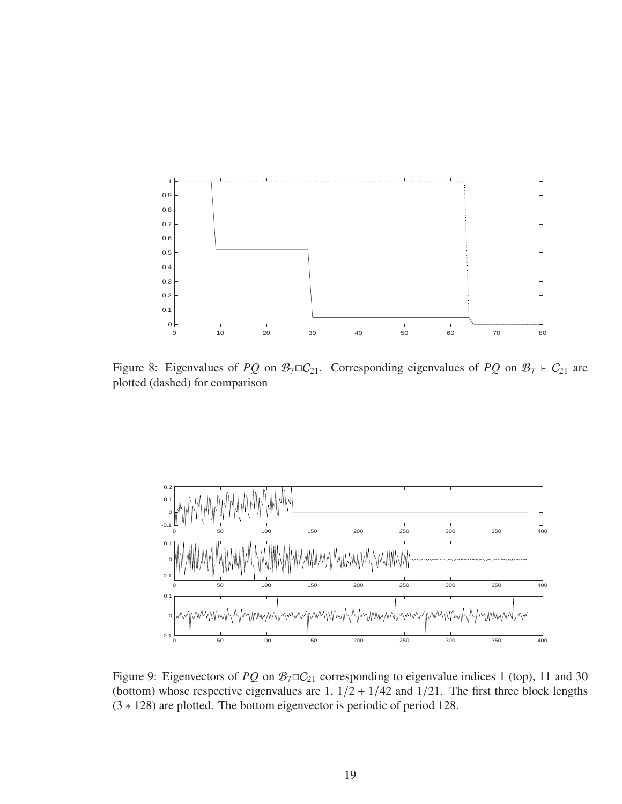

<span id="page-18-0"></span>Figure 8: Eigenvalues of  $PQ$  on  $\mathcal{B}_7 \square C_{21}$ . Corresponding eigenvalues of  $PQ$  on  $\mathcal{B}_7 \vdash C_{21}$  are plotted (dashed) for comparison



Figure 9: Eigenvectors of PQ on  $\mathcal{B}_7 \square \mathcal{C}_{21}$  corresponding to eigenvalue indices 1 (top), 11 and 30 (bottom) whose respective eigenvalues are 1,  $1/2 + 1/42$  and  $1/21$ . The first three block lengths (3 ∗ 128) are plotted. The bottom eigenvector is periodic of period 128.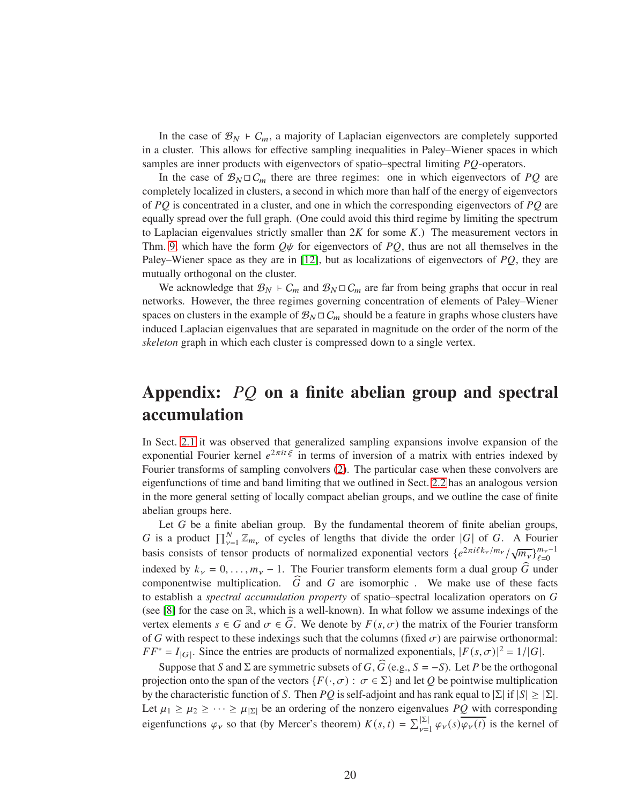In the case of  $\mathcal{B}_N$  ⊢  $C_m$ , a majority of Laplacian eigenvectors are completely supported in a cluster. This allows for effective sampling inequalities in Paley–Wiener spaces in which samples are inner products with eigenvectors of spatio–spectral limiting  $PQ$ -operators.

In the case of  $\mathcal{B}_N \square C_m$  there are three regimes: one in which eigenvectors of PQ are completely localized in clusters, a second in which more than half of the energy of eigenvectors of  $PQ$  is concentrated in a cluster, and one in which the corresponding eigenvectors of  $PQ$  are equally spread over the full graph. (One could avoid this third regime by limiting the spectrum to Laplacian eigenvalues strictly smaller than  $2K$  for some  $K$ .) The measurement vectors in Thm. [9,](#page-16-0) which have the form  $Q\psi$  for eigenvectors of PQ, thus are not all themselves in the Paley–Wiener space as they are in [\[12\]](#page-21-5), but as localizations of eigenvectors of  $PQ$ , they are mutually orthogonal on the cluster.

We acknowledge that  $\mathcal{B}_N$  ⊢  $C_m$  and  $\mathcal{B}_N \square C_m$  are far from being graphs that occur in real networks. However, the three regimes governing concentration of elements of Paley–Wiener spaces on clusters in the example of  $\mathcal{B}_N \square C_m$  should be a feature in graphs whose clusters have induced Laplacian eigenvalues that are separated in magnitude on the order of the norm of the *skeleton* graph in which each cluster is compressed down to a single vertex.

## Appendix: PQ on a finite abelian group and spectral **accumulation**

In Sect. [2.1](#page-2-1) it was observed that generalized sampling expansions involve expansion of the exponential Fourier kernel  $e^{2\pi i t \xi}$  in terms of inversion of a matrix with entries indexed by Fourier transforms of sampling convolvers [\(2\)](#page-3-1). The particular case when these convolvers are eigenfunctions of time and band limiting that we outlined in Sect. [2.2](#page-3-0) has an analogous version in the more general setting of locally compact abelian groups, and we outline the case of finite abelian groups here.

Let  $G$  be a finite abelian group. By the fundamental theorem of finite abelian groups, G is a product  $\prod_{\nu=1}^{N} \mathbb{Z}_{m_{\nu}}$  of cycles of lengths that divide the order |G| of G. A Fourier basis consists of tensor products of normalized exponential vectors  $\{e^{2\pi i \ell k_v/m_v}/\sqrt{m_v}\}_{\ell=0}^{m_v-1}$ indexed by  $k_v = 0, \ldots, m_v - 1$ . The Fourier transform elements form a dual group  $\widehat{G}$  under componentwise multiplication.  $\widehat{G}$  and  $G$  are isomorphic . We make use of these facts to establish a *spectral accumulation property* of spatio–spectral localization operators on G (see [\[8\]](#page-21-9) for the case on  $\mathbb{R}$ , which is a well-known). In what follow we assume indexings of the vertex elements  $s \in G$  and  $\sigma \in G$ . We denote by  $F(s, \sigma)$  the matrix of the Fourier transform of G with respect to these indexings such that the columns (fixed  $\sigma$ ) are pairwise orthonormal:  $FF^* = I_{|G|}$ . Since the entries are products of normalized exponentials,  $|F(s, \sigma)|^2 = 1/|G|$ .

Suppose that S and  $\Sigma$  are symmetric subsets of G,  $\widehat{G}$  (e.g.,  $S = -S$ ). Let P be the orthogonal projection onto the span of the vectors  $\{F(\cdot, \sigma) : \sigma \in \Sigma\}$  and let Q be pointwise multiplication by the characteristic function of S. Then PQ is self-adjoint and has rank equal to  $|\Sigma|$  if  $|S| \geq |\Sigma|$ . Let  $\mu_1 \ge \mu_2 \ge \cdots \ge \mu_{|\Sigma|}$  be an ordering of the nonzero eigenvalues PQ with corresponding eigenfunctions  $\varphi_{\nu}$  so that (by Mercer's theorem)  $K(s,t) = \sum_{\nu=1}^{\vert \Sigma \vert} \varphi_{\nu}(s) \overline{\varphi_{\nu}(t)}$  is the kernel of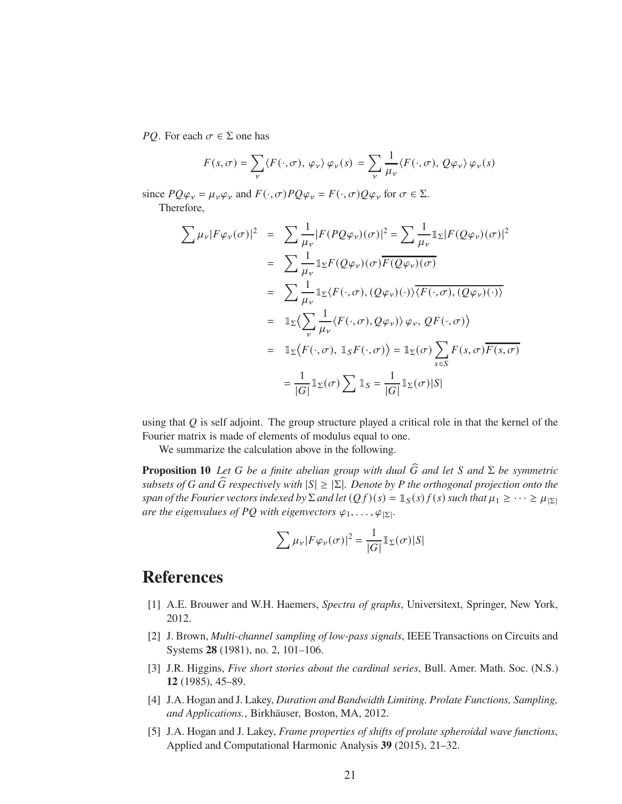*PQ*. For each  $\sigma \in \Sigma$  one has

$$
F(s,\sigma) = \sum_{\nu} \langle F(\cdot,\sigma), \varphi_{\nu} \rangle \varphi_{\nu}(s) = \sum_{\nu} \frac{1}{\mu_{\nu}} \langle F(\cdot,\sigma), Q\varphi_{\nu} \rangle \varphi_{\nu}(s)
$$

since  $PQ\varphi_v = \mu_v \varphi_v$  and  $F(\cdot, \sigma)PQ\varphi_v = F(\cdot, \sigma)Q\varphi_v$  for  $\sigma \in \Sigma$ . Therefore,

$$
\sum \mu_{\nu} |F\varphi_{\nu}(\sigma)|^{2} = \sum \frac{1}{\mu_{\nu}} |F(PQ\varphi_{\nu})(\sigma)|^{2} = \sum \frac{1}{\mu_{\nu}} 1_{\Sigma} |F(Q\varphi_{\nu})(\sigma)|^{2}
$$
  
\n
$$
= \sum \frac{1}{\mu_{\nu}} 1_{\Sigma} F(Q\varphi_{\nu})(\sigma) \overline{F(Q\varphi_{\nu})(\sigma)}
$$
  
\n
$$
= \sum \frac{1}{\mu_{\nu}} 1_{\Sigma} \langle F(\cdot, \sigma), (Q\varphi_{\nu})(\cdot) \rangle \overline{\langle F(\cdot, \sigma), (Q\varphi_{\nu})(\cdot) \rangle}
$$
  
\n
$$
= 1_{\Sigma} \langle \sum_{\nu} \frac{1}{\mu_{\nu}} \langle F(\cdot, \sigma), Q\varphi_{\nu} \rangle \rangle \varphi_{\nu}, QF(\cdot, \sigma) \rangle
$$
  
\n
$$
= 1_{\Sigma} \langle F(\cdot, \sigma), 1_{S}F(\cdot, \sigma) \rangle = 1_{\Sigma} \langle \sigma) \sum_{s \in S} F(s, \sigma) \overline{F(s, \sigma)}
$$
  
\n
$$
= \frac{1}{|G|} 1_{\Sigma}(\sigma) \sum 1_{S} = \frac{1}{|G|} 1_{\Sigma}(\sigma) |S|
$$

using that  $Q$  is self adjoint. The group structure played a critical role in that the kernel of the Fourier matrix is made of elements of modulus equal to one.

We summarize the calculation above in the following.

**Proposition 10** *Let G be a finite abelian group with dual*  $\widehat{G}$  *and let S and*  $\Sigma$  *be symmetric subsets of* G and G respectively with  $|S| \geq |\Sigma|$ *. Denote by* P the orthogonal projection onto the *span of the Fourier vectors indexed by*  $\Sigma$  *and let*  $(Qf)(s) = 1_S(s)f(s)$  *such that*  $\mu_1 \geq \cdots \geq \mu_{|\Sigma|}$ *are the eigenvalues of PQ with eigenvectors*  $\varphi_1, \ldots, \varphi_{|\Sigma|}$ .

$$
\sum \mu_{\nu} |F \varphi_{\nu}(\sigma)|^2 = \frac{1}{|G|} \mathbb{1}_{\Sigma}(\sigma) |S|
$$

## <span id="page-20-4"></span>**References**

- <span id="page-20-1"></span>[1] A.E. Brouwer and W.H. Haemers, *Spectra of graphs*, Universitext, Springer, New York, 2012.
- [2] J. Brown, *Multi-channel sampling of low-pass signals*, IEEE Transactions on Circuits and Systems **28** (1981), no. 2, 101–106.
- <span id="page-20-0"></span>[3] J.R. Higgins, *Five short stories about the cardinal series*, Bull. Amer. Math. Soc. (N.S.) **12** (1985), 45–89.
- <span id="page-20-2"></span>[4] J.A. Hogan and J. Lakey, *Duration and Bandwidth Limiting. Prolate Functions, Sampling, and Applications.*, Birkhäuser, Boston, MA, 2012.
- <span id="page-20-3"></span>[5] J.A. Hogan and J. Lakey, *Frame properties of shifts of prolate spheroidal wave functions*, Applied and Computational Harmonic Analysis **39** (2015), 21–32.